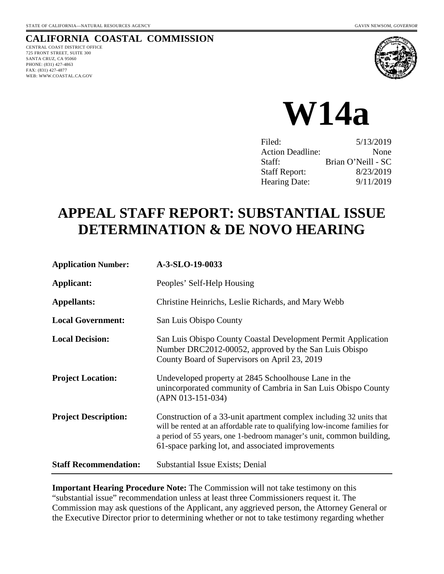#### **CALIFORNIA COASTAL COMMISSION** CENTRAL COAST DISTRICT OFFICE

725 FRONT STREET, SUITE 300 SANTA CRUZ, CA 95060 PHONE: (831) 427-4863 FAX: (831) 427-4877 WEB: WWW.COASTAL.CA.GOV



**W14a** 

| 5/13/2019          |
|--------------------|
| None               |
| Brian O'Neill - SC |
| 8/23/2019          |
| 9/11/2019          |
|                    |

# **APPEAL STAFF REPORT: SUBSTANTIAL ISSUE DETERMINATION & DE NOVO HEARING**

| <b>Application Number:</b>   | A-3-SLO-19-0033                                                                                                                                                                                                                                                                |
|------------------------------|--------------------------------------------------------------------------------------------------------------------------------------------------------------------------------------------------------------------------------------------------------------------------------|
| Applicant:                   | Peoples' Self-Help Housing                                                                                                                                                                                                                                                     |
| <b>Appellants:</b>           | Christine Heinrichs, Leslie Richards, and Mary Webb                                                                                                                                                                                                                            |
| <b>Local Government:</b>     | San Luis Obispo County                                                                                                                                                                                                                                                         |
| <b>Local Decision:</b>       | San Luis Obispo County Coastal Development Permit Application<br>Number DRC2012-00052, approved by the San Luis Obispo<br>County Board of Supervisors on April 23, 2019                                                                                                        |
| <b>Project Location:</b>     | Undeveloped property at 2845 Schoolhouse Lane in the<br>unincorporated community of Cambria in San Luis Obispo County<br>$(APN 013-151-034)$                                                                                                                                   |
| <b>Project Description:</b>  | Construction of a 33-unit apartment complex including 32 units that<br>will be rented at an affordable rate to qualifying low-income families for<br>a period of 55 years, one 1-bedroom manager's unit, common building,<br>61-space parking lot, and associated improvements |
| <b>Staff Recommendation:</b> | Substantial Issue Exists; Denial                                                                                                                                                                                                                                               |

**Important Hearing Procedure Note:** The Commission will not take testimony on this "substantial issue" recommendation unless at least three Commissioners request it. The Commission may ask questions of the Applicant, any aggrieved person, the Attorney General or the Executive Director prior to determining whether or not to take testimony regarding whether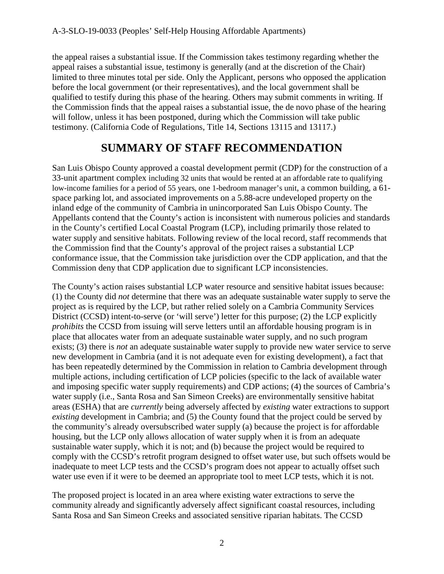the appeal raises a substantial issue. If the Commission takes testimony regarding whether the appeal raises a substantial issue, testimony is generally (and at the discretion of the Chair) limited to three minutes total per side. Only the Applicant, persons who opposed the application before the local government (or their representatives), and the local government shall be qualified to testify during this phase of the hearing. Others may submit comments in writing. If the Commission finds that the appeal raises a substantial issue, the de novo phase of the hearing will follow, unless it has been postponed, during which the Commission will take public testimony. (California Code of Regulations, Title 14, Sections 13115 and 13117.)

# **SUMMARY OF STAFF RECOMMENDATION**

San Luis Obispo County approved a coastal development permit (CDP) for the construction of a 33-unit apartment complex including 32 units that would be rented at an affordable rate to qualifying low-income families for a period of 55 years, one 1-bedroom manager's unit, a common building, a 61 space parking lot, and associated improvements on a 5.88-acre undeveloped property on the inland edge of the community of Cambria in unincorporated San Luis Obispo County. The Appellants contend that the County's action is inconsistent with numerous policies and standards in the County's certified Local Coastal Program (LCP), including primarily those related to water supply and sensitive habitats. Following review of the local record, staff recommends that the Commission find that the County's approval of the project raises a substantial LCP conformance issue, that the Commission take jurisdiction over the CDP application, and that the Commission deny that CDP application due to significant LCP inconsistencies.

The County's action raises substantial LCP water resource and sensitive habitat issues because: (1) the County did *not* determine that there was an adequate sustainable water supply to serve the project as is required by the LCP, but rather relied solely on a Cambria Community Services District (CCSD) intent-to-serve (or 'will serve') letter for this purpose; (2) the LCP explicitly *prohibits* the CCSD from issuing will serve letters until an affordable housing program is in place that allocates water from an adequate sustainable water supply, and no such program exists; (3) there is *not* an adequate sustainable water supply to provide new water service to serve new development in Cambria (and it is not adequate even for existing development), a fact that has been repeatedly determined by the Commission in relation to Cambria development through multiple actions, including certification of LCP policies (specific to the lack of available water and imposing specific water supply requirements) and CDP actions; (4) the sources of Cambria's water supply (i.e., Santa Rosa and San Simeon Creeks) are environmentally sensitive habitat areas (ESHA) that are *currently* being adversely affected by *existing* water extractions to support *existing* development in Cambria; and (5) the County found that the project could be served by the community's already oversubscribed water supply (a) because the project is for affordable housing, but the LCP only allows allocation of water supply when it is from an adequate sustainable water supply, which it is not; and (b) because the project would be required to comply with the CCSD's retrofit program designed to offset water use, but such offsets would be inadequate to meet LCP tests and the CCSD's program does not appear to actually offset such water use even if it were to be deemed an appropriate tool to meet LCP tests, which it is not.

The proposed project is located in an area where existing water extractions to serve the community already and significantly adversely affect significant coastal resources, including Santa Rosa and San Simeon Creeks and associated sensitive riparian habitats. The CCSD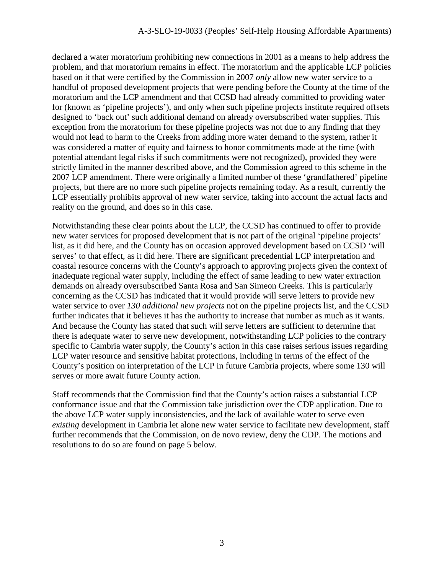declared a water moratorium prohibiting new connections in 2001 as a means to help address the problem, and that moratorium remains in effect. The moratorium and the applicable LCP policies based on it that were certified by the Commission in 2007 *only* allow new water service to a handful of proposed development projects that were pending before the County at the time of the moratorium and the LCP amendment and that CCSD had already committed to providing water for (known as 'pipeline projects'), and only when such pipeline projects institute required offsets designed to 'back out' such additional demand on already oversubscribed water supplies. This exception from the moratorium for these pipeline projects was not due to any finding that they would not lead to harm to the Creeks from adding more water demand to the system, rather it was considered a matter of equity and fairness to honor commitments made at the time (with potential attendant legal risks if such commitments were not recognized), provided they were strictly limited in the manner described above, and the Commission agreed to this scheme in the 2007 LCP amendment. There were originally a limited number of these 'grandfathered' pipeline projects, but there are no more such pipeline projects remaining today. As a result, currently the LCP essentially prohibits approval of new water service, taking into account the actual facts and reality on the ground, and does so in this case.

Notwithstanding these clear points about the LCP, the CCSD has continued to offer to provide new water services for proposed development that is not part of the original 'pipeline projects' list, as it did here, and the County has on occasion approved development based on CCSD 'will serves' to that effect, as it did here. There are significant precedential LCP interpretation and coastal resource concerns with the County's approach to approving projects given the context of inadequate regional water supply, including the effect of same leading to new water extraction demands on already oversubscribed Santa Rosa and San Simeon Creeks. This is particularly concerning as the CCSD has indicated that it would provide will serve letters to provide new water service to over *130 additional new projects* not on the pipeline projects list, and the CCSD further indicates that it believes it has the authority to increase that number as much as it wants. And because the County has stated that such will serve letters are sufficient to determine that there is adequate water to serve new development, notwithstanding LCP policies to the contrary specific to Cambria water supply, the County's action in this case raises serious issues regarding LCP water resource and sensitive habitat protections, including in terms of the effect of the County's position on interpretation of the LCP in future Cambria projects, where some 130 will serves or more await future County action.

Staff recommends that the Commission find that the County's action raises a substantial LCP conformance issue and that the Commission take jurisdiction over the CDP application. Due to the above LCP water supply inconsistencies, and the lack of available water to serve even *existing* development in Cambria let alone new water service to facilitate new development, staff further recommends that the Commission, on de novo review, deny the CDP. The motions and resolutions to do so are found on page 5 below.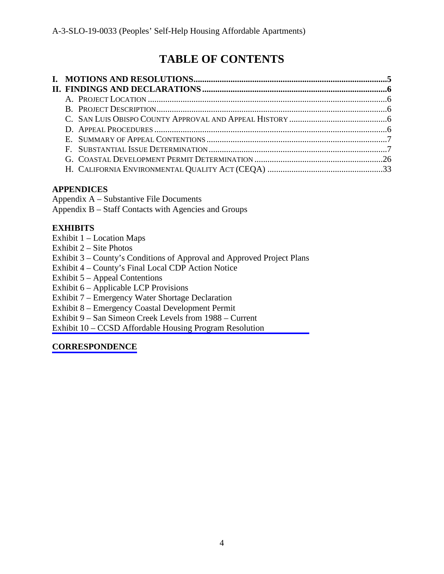# **TABLE OF CONTENTS**

## **APPENDICES**

Appendix A – Substantive File Documents

Appendix B – Staff Contacts with Agencies and Groups

## **EXHIBITS**

- Exhibit 1 Location Maps
- Exhibit 2 Site Photos
- [Exhibit 3 County's Conditions of Approval and Approved Project Plans](https://documents.coastal.ca.gov/reports/2019/9/w14a/w14a-9-2019-exhibits.pdf)
- Exhibit 4 County's Final Local CDP Action Notice
- Exhibit 5 Appeal Contentions
- Exhibit 6 Applicable LCP Provisions
- Exhibit 7 Emergency Water Shortage Declaration
- Exhibit 8 Emergency Coastal Development Permit
- Exhibit 9 San Simeon Creek Levels from 1988 Current
- Exhibit 10 CCSD Affordable Housing Program Resolution

## **[CORRESPONDENCE](https://documents.coastal.ca.gov/reports/2019/9/w14a/w14a-9-2019-corresp.pdf)**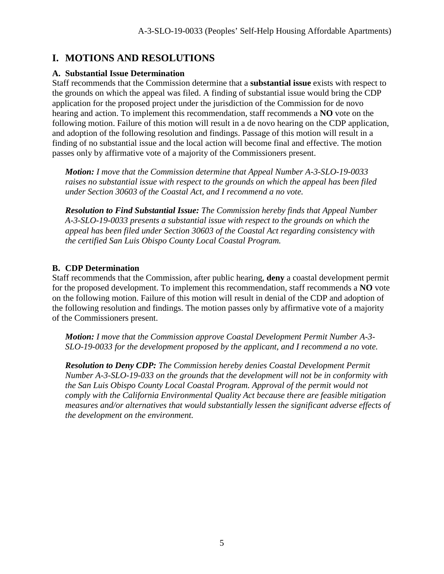# **I. MOTIONS AND RESOLUTIONS**

## **A. Substantial Issue Determination**

Staff recommends that the Commission determine that a **substantial issue** exists with respect to the grounds on which the appeal was filed. A finding of substantial issue would bring the CDP application for the proposed project under the jurisdiction of the Commission for de novo hearing and action. To implement this recommendation, staff recommends a **NO** vote on the following motion. Failure of this motion will result in a de novo hearing on the CDP application, and adoption of the following resolution and findings. Passage of this motion will result in a finding of no substantial issue and the local action will become final and effective. The motion passes only by affirmative vote of a majority of the Commissioners present.

*Motion: I move that the Commission determine that Appeal Number A-3-SLO-19-0033 raises no substantial issue with respect to the grounds on which the appeal has been filed under Section 30603 of the Coastal Act, and I recommend a no vote.* 

*Resolution to Find Substantial Issue: The Commission hereby finds that Appeal Number A-3-SLO-19-0033 presents a substantial issue with respect to the grounds on which the appeal has been filed under Section 30603 of the Coastal Act regarding consistency with the certified San Luis Obispo County Local Coastal Program.* 

## **B. CDP Determination**

Staff recommends that the Commission, after public hearing, **deny** a coastal development permit for the proposed development. To implement this recommendation, staff recommends a **NO** vote on the following motion. Failure of this motion will result in denial of the CDP and adoption of the following resolution and findings. The motion passes only by affirmative vote of a majority of the Commissioners present.

*Motion: I move that the Commission approve Coastal Development Permit Number A-3- SLO-19-0033 for the development proposed by the applicant, and I recommend a no vote.* 

*Resolution to Deny CDP: The Commission hereby denies Coastal Development Permit Number A-3-SLO-19-033 on the grounds that the development will not be in conformity with the San Luis Obispo County Local Coastal Program. Approval of the permit would not comply with the California Environmental Quality Act because there are feasible mitigation measures and/or alternatives that would substantially lessen the significant adverse effects of the development on the environment.*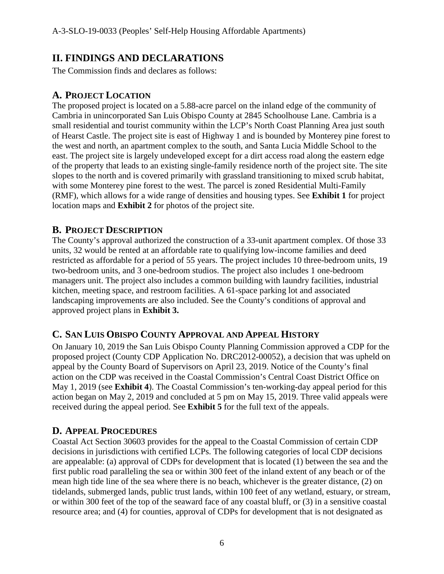# **II. FINDINGS AND DECLARATIONS**

The Commission finds and declares as follows:

## **A. PROJECT LOCATION**

The proposed project is located on a 5.88-acre parcel on the inland edge of the community of Cambria in unincorporated San Luis Obispo County at 2845 Schoolhouse Lane. Cambria is a small residential and tourist community within the LCP's North Coast Planning Area just south of Hearst Castle. The project site is east of Highway 1 and is bounded by Monterey pine forest to the west and north, an apartment complex to the south, and Santa Lucia Middle School to the east. The project site is largely undeveloped except for a dirt access road along the eastern edge of the property that leads to an existing single-family residence north of the project site. The site slopes to the north and is covered primarily with grassland transitioning to mixed scrub habitat, with some Monterey pine forest to the west. The parcel is zoned Residential Multi-Family (RMF), which allows for a wide range of densities and housing types. See **Exhibit 1** for project location maps and **Exhibit 2** for photos of the project site.

## **B. PROJECT DESCRIPTION**

The County's approval authorized the construction of a 33-unit apartment complex. Of those 33 units, 32 would be rented at an affordable rate to qualifying low-income families and deed restricted as affordable for a period of 55 years. The project includes 10 three-bedroom units, 19 two-bedroom units, and 3 one-bedroom studios. The project also includes 1 one-bedroom managers unit. The project also includes a common building with laundry facilities, industrial kitchen, meeting space, and restroom facilities. A 61-space parking lot and associated landscaping improvements are also included. See the County's conditions of approval and approved project plans in **Exhibit 3.**

## **C. SAN LUIS OBISPO COUNTY APPROVAL AND APPEAL HISTORY**

On January 10, 2019 the San Luis Obispo County Planning Commission approved a CDP for the proposed project (County CDP Application No. DRC2012-00052), a decision that was upheld on appeal by the County Board of Supervisors on April 23, 2019. Notice of the County's final action on the CDP was received in the Coastal Commission's Central Coast District Office on May 1, 2019 (see **Exhibit 4**). The Coastal Commission's ten-working-day appeal period for this action began on May 2, 2019 and concluded at 5 pm on May 15, 2019. Three valid appeals were received during the appeal period. See **Exhibit 5** for the full text of the appeals.

## **D. APPEAL PROCEDURES**

Coastal Act Section 30603 provides for the appeal to the Coastal Commission of certain CDP decisions in jurisdictions with certified LCPs. The following categories of local CDP decisions are appealable: (a) approval of CDPs for development that is located (1) between the sea and the first public road paralleling the sea or within 300 feet of the inland extent of any beach or of the mean high tide line of the sea where there is no beach, whichever is the greater distance, (2) on tidelands, submerged lands, public trust lands, within 100 feet of any wetland, estuary, or stream, or within 300 feet of the top of the seaward face of any coastal bluff, or (3) in a sensitive coastal resource area; and (4) for counties, approval of CDPs for development that is not designated as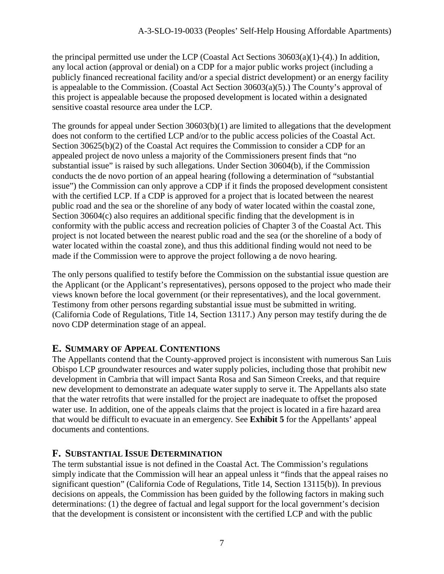the principal permitted use under the LCP (Coastal Act Sections  $30603(a)(1)-(4)$ .) In addition, any local action (approval or denial) on a CDP for a major public works project (including a publicly financed recreational facility and/or a special district development) or an energy facility is appealable to the Commission. (Coastal Act Section 30603(a)(5).) The County's approval of this project is appealable because the proposed development is located within a designated sensitive coastal resource area under the LCP.

The grounds for appeal under Section 30603(b)(1) are limited to allegations that the development does not conform to the certified LCP and/or to the public access policies of the Coastal Act. Section 30625(b)(2) of the Coastal Act requires the Commission to consider a CDP for an appealed project de novo unless a majority of the Commissioners present finds that "no substantial issue" is raised by such allegations. Under Section 30604(b), if the Commission conducts the de novo portion of an appeal hearing (following a determination of "substantial issue") the Commission can only approve a CDP if it finds the proposed development consistent with the certified LCP. If a CDP is approved for a project that is located between the nearest public road and the sea or the shoreline of any body of water located within the coastal zone, Section 30604(c) also requires an additional specific finding that the development is in conformity with the public access and recreation policies of Chapter 3 of the Coastal Act. This project is not located between the nearest public road and the sea (or the shoreline of a body of water located within the coastal zone), and thus this additional finding would not need to be made if the Commission were to approve the project following a de novo hearing.

The only persons qualified to testify before the Commission on the substantial issue question are the Applicant (or the Applicant's representatives), persons opposed to the project who made their views known before the local government (or their representatives), and the local government. Testimony from other persons regarding substantial issue must be submitted in writing. (California Code of Regulations, Title 14, Section 13117.) Any person may testify during the de novo CDP determination stage of an appeal.

## **E. SUMMARY OF APPEAL CONTENTIONS**

The Appellants contend that the County-approved project is inconsistent with numerous San Luis Obispo LCP groundwater resources and water supply policies, including those that prohibit new development in Cambria that will impact Santa Rosa and San Simeon Creeks, and that require new development to demonstrate an adequate water supply to serve it. The Appellants also state that the water retrofits that were installed for the project are inadequate to offset the proposed water use. In addition, one of the appeals claims that the project is located in a fire hazard area that would be difficult to evacuate in an emergency. See **Exhibit 5** for the Appellants' appeal documents and contentions.

## **F. SUBSTANTIAL ISSUE DETERMINATION**

The term substantial issue is not defined in the Coastal Act. The Commission's regulations simply indicate that the Commission will hear an appeal unless it "finds that the appeal raises no significant question" (California Code of Regulations, Title 14, Section 13115(b)). In previous decisions on appeals, the Commission has been guided by the following factors in making such determinations: (1) the degree of factual and legal support for the local government's decision that the development is consistent or inconsistent with the certified LCP and with the public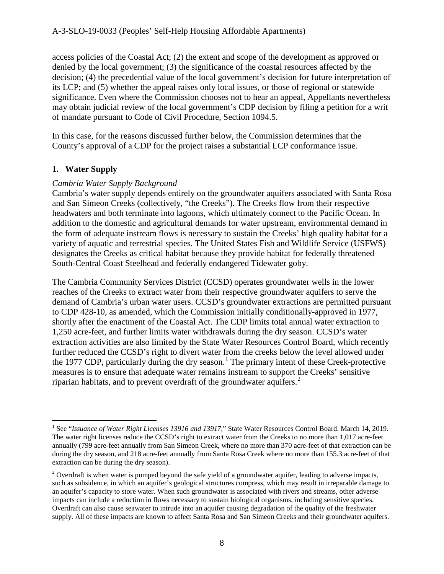access policies of the Coastal Act; (2) the extent and scope of the development as approved or denied by the local government; (3) the significance of the coastal resources affected by the decision; (4) the precedential value of the local government's decision for future interpretation of its LCP; and (5) whether the appeal raises only local issues, or those of regional or statewide significance. Even where the Commission chooses not to hear an appeal, Appellants nevertheless may obtain judicial review of the local government's CDP decision by filing a petition for a writ of mandate pursuant to Code of Civil Procedure, Section 1094.5.

In this case, for the reasons discussed further below, the Commission determines that the County's approval of a CDP for the project raises a substantial LCP conformance issue.

## **1. Water Supply**

 $\overline{a}$ 

#### *Cambria Water Supply Background*

Cambria's water supply depends entirely on the groundwater aquifers associated with Santa Rosa and San Simeon Creeks (collectively, "the Creeks"). The Creeks flow from their respective headwaters and both terminate into lagoons, which ultimately connect to the Pacific Ocean. In addition to the domestic and agricultural demands for water upstream, environmental demand in the form of adequate instream flows is necessary to sustain the Creeks' high quality habitat for a variety of aquatic and terrestrial species. The United States Fish and Wildlife Service (USFWS) designates the Creeks as critical habitat because they provide habitat for federally threatened South-Central Coast Steelhead and federally endangered Tidewater goby.

The Cambria Community Services District (CCSD) operates groundwater wells in the lower reaches of the Creeks to extract water from their respective groundwater aquifers to serve the demand of Cambria's urban water users. CCSD's groundwater extractions are permitted pursuant to CDP 428-10, as amended, which the Commission initially conditionally-approved in 1977, shortly after the enactment of the Coastal Act. The CDP limits total annual water extraction to 1,250 acre-feet, and further limits water withdrawals during the dry season. CCSD's water extraction activities are also limited by the State Water Resources Control Board, which recently further reduced the CCSD's right to divert water from the creeks below the level allowed under the [1](#page-7-0)977 CDP, particularly during the dry season.<sup>1</sup> The primary intent of these Creek-protective measures is to ensure that adequate water remains instream to support the Creeks' sensitive riparian habitats, and to prevent overdraft of the groundwater aquifers. [2](#page-7-1)

<span id="page-7-0"></span><sup>&</sup>lt;sup>1</sup> See "Issuance of Water Right Licenses 13916 and 13917," State Water Resources Control Board. March 14, 2019. The water right licenses reduce the CCSD's right to extract water from the Creeks to no more than 1,017 acre-feet annually (799 acre-feet annually from San Simeon Creek, where no more than 370 acre-feet of that extraction can be during the dry season, and 218 acre-feet annually from Santa Rosa Creek where no more than 155.3 acre-feet of that extraction can be during the dry season).

<span id="page-7-1"></span><sup>&</sup>lt;sup>2</sup> Overdraft is when water is pumped beyond the safe yield of a groundwater aquifer, leading to adverse impacts, such as subsidence, in which an aquifer's geological structures compress, which may result in irreparable damage to an aquifer's capacity to store water. When such groundwater is associated with rivers and streams, other adverse impacts can include a reduction in flows necessary to sustain biological organisms, including sensitive species. Overdraft can also cause seawater to intrude into an aquifer causing degradation of the quality of the freshwater supply. All of these impacts are known to affect Santa Rosa and San Simeon Creeks and their groundwater aquifers.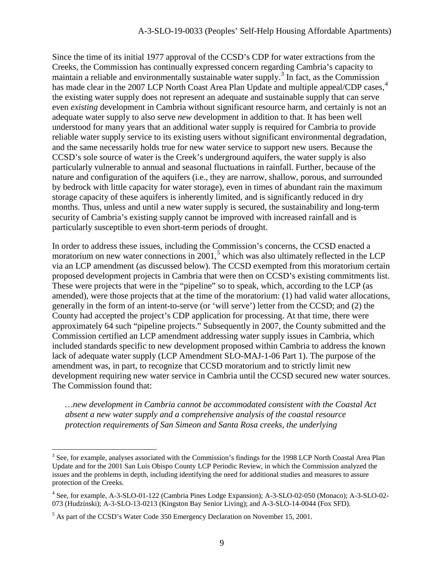Since the time of its initial 1977 approval of the CCSD's CDP for water extractions from the Creeks, the Commission has continually expressed concern regarding Cambria's capacity to maintain a reliable and environmentally sustainable water supply.<sup>[3](#page-8-0)</sup> In fact, as the Commission has made clear in the 2007 LCP North Coast Area Plan Update and multiple appeal/CDP cases,<sup>[4](#page-8-1)</sup> the existing water supply does not represent an adequate and sustainable supply that can serve even *existing* development in Cambria without significant resource harm, and certainly is not an adequate water supply to also serve *new* development in addition to that. It has been well understood for many years that an additional water supply is required for Cambria to provide reliable water supply service to its existing users without significant environmental degradation, and the same necessarily holds true for new water service to support new users. Because the CCSD's sole source of water is the Creek's underground aquifers, the water supply is also particularly vulnerable to annual and seasonal fluctuations in rainfall. Further, because of the nature and configuration of the aquifers (i.e., they are narrow, shallow, porous, and surrounded by bedrock with little capacity for water storage), even in times of abundant rain the maximum storage capacity of these aquifers is inherently limited, and is significantly reduced in dry months. Thus, unless and until a new water supply is secured, the sustainability and long-term security of Cambria's existing supply cannot be improved with increased rainfall and is particularly susceptible to even short-term periods of drought.

In order to address these issues, including the Commission's concerns, the CCSD enacted a moratorium on new water connections in 2001,<sup>[5](#page-8-2)</sup> which was also ultimately reflected in the LCP via an LCP amendment (as discussed below). The CCSD exempted from this moratorium certain proposed development projects in Cambria that were then on CCSD's existing commitments list. These were projects that were in the "pipeline" so to speak, which, according to the LCP (as amended), were those projects that at the time of the moratorium: (1) had valid water allocations, generally in the form of an intent-to-serve (or 'will serve') letter from the CCSD; and (2) the County had accepted the project's CDP application for processing. At that time, there were approximately 64 such "pipeline projects." Subsequently in 2007, the County submitted and the Commission certified an LCP amendment addressing water supply issues in Cambria, which included standards specific to new development proposed within Cambria to address the known lack of adequate water supply (LCP Amendment SLO-MAJ-1-06 Part 1). The purpose of the amendment was, in part, to recognize that CCSD moratorium and to strictly limit new development requiring new water service in Cambria until the CCSD secured new water sources. The Commission found that:

*…new development in Cambria cannot be accommodated consistent with the Coastal Act absent a new water supply and a comprehensive analysis of the coastal resource protection requirements of San Simeon and Santa Rosa creeks, the underlying* 

<span id="page-8-0"></span><sup>&</sup>lt;sup>3</sup> See, for example, analyses associated with the Commission's findings for the 1998 LCP North Coastal Area Plan Update and for the 2001 San Luis Obispo County LCP Periodic Review, in which the Commission analyzed the issues and the problems in depth, including identifying the need for additional studies and measures to assure protection of the Creeks.

<span id="page-8-1"></span><sup>4</sup> See, for example, A-3-SLO-01-122 (Cambria Pines Lodge Expansion); A-3-SLO-02-050 (Monaco); A-3-SLO-02- 073 (Hudzinski); A-3-SLO-13-0213 (Kingston Bay Senior Living); and A-3-SLO-14-0044 (Fox SFD).

<span id="page-8-2"></span><sup>&</sup>lt;sup>5</sup> As part of the CCSD's Water Code 350 Emergency Declaration on November 15, 2001.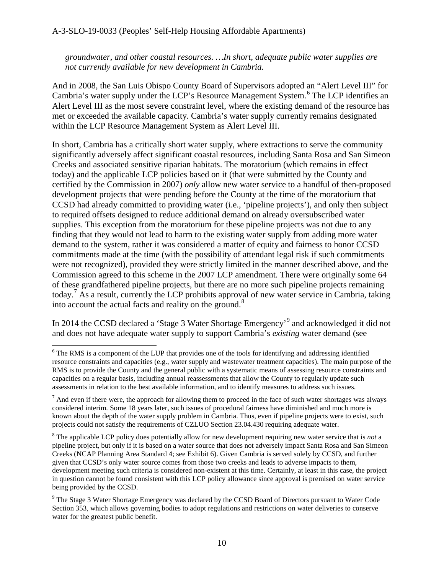*groundwater, and other coastal resources. …In short, adequate public water supplies are not currently available for new development in Cambria.* 

And in 2008, the San Luis Obispo County Board of Supervisors adopted an "Alert Level III" for Cambria's water supply under the LCP's Resource Management System.<sup>[6](#page-9-0)</sup> The LCP identifies an Alert Level III as the most severe constraint level, where the existing demand of the resource has met or exceeded the available capacity. Cambria's water supply currently remains designated within the LCP Resource Management System as Alert Level III.

In short, Cambria has a critically short water supply, where extractions to serve the community significantly adversely affect significant coastal resources, including Santa Rosa and San Simeon Creeks and associated sensitive riparian habitats. The moratorium (which remains in effect today) and the applicable LCP policies based on it (that were submitted by the County and certified by the Commission in 2007) *only* allow new water service to a handful of then-proposed development projects that were pending before the County at the time of the moratorium that CCSD had already committed to providing water (i.e., 'pipeline projects'), and only then subject to required offsets designed to reduce additional demand on already oversubscribed water supplies. This exception from the moratorium for these pipeline projects was not due to any finding that they would not lead to harm to the existing water supply from adding more water demand to the system, rather it was considered a matter of equity and fairness to honor CCSD commitments made at the time (with the possibility of attendant legal risk if such commitments were not recognized), provided they were strictly limited in the manner described above, and the Commission agreed to this scheme in the 2007 LCP amendment. There were originally some 64 of these grandfathered pipeline projects, but there are no more such pipeline projects remaining today.<sup>[7](#page-9-1)</sup> As a result, currently the LCP prohibits approval of new water service in Cambria, taking into account the actual facts and reality on the ground. $8$ 

In 2014 the CCSD declared a 'Stage 3 Water Shortage Emergency'<sup>[9](#page-9-3)</sup> and acknowledged it did not and does not have adequate water supply to support Cambria's *existing* water demand (see

<span id="page-9-0"></span><sup>&</sup>lt;sup>6</sup> The RMS is a component of the LUP that provides one of the tools for identifying and addressing identified resource constraints and capacities (e.g., water supply and wastewater treatment capacities). The main purpose of the RMS is to provide the County and the general public with a systematic means of assessing resource constraints and capacities on a regular basis, including annual reassessments that allow the County to regularly update such assessments in relation to the best available information, and to identify measures to address such issues.

<span id="page-9-1"></span> $<sup>7</sup>$  And even if there were, the approach for allowing them to proceed in the face of such water shortages was always</sup> considered interim. Some 18 years later, such issues of procedural fairness have diminished and much more is known about the depth of the water supply problem in Cambria. Thus, even if pipeline projects were to exist, such projects could not satisfy the requirements of CZLUO Section 23.04.430 requiring adequate water.

<span id="page-9-2"></span><sup>8</sup> The applicable LCP policy does potentially allow for new development requiring new water service that is *not* a pipeline project, but only if it is based on a water source that does not adversely impact Santa Rosa and San Simeon Creeks (NCAP Planning Area Standard 4; see Exhibit 6). Given Cambria is served solely by CCSD, and further given that CCSD's only water source comes from those two creeks and leads to adverse impacts to them, development meeting such criteria is considered non-existent at this time. Certainly, at least in this case, the project in question cannot be found consistent with this LCP policy allowance since approval is premised on water service being provided by the CCSD.

<span id="page-9-3"></span><sup>&</sup>lt;sup>9</sup> The Stage 3 Water Shortage Emergency was declared by the CCSD Board of Directors pursuant to Water Code Section 353, which allows governing bodies to adopt regulations and restrictions on water deliveries to conserve water for the greatest public benefit.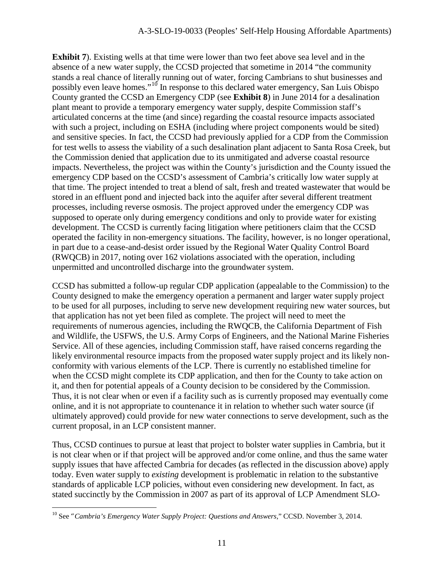**Exhibit 7**). Existing wells at that time were lower than two feet above sea level and in the absence of a new water supply, the CCSD projected that sometime in 2014 "the community stands a real chance of literally running out of water, forcing Cambrians to shut businesses and possibly even leave homes."<sup>[10](#page-10-0)</sup> In response to this declared water emergency, San Luis Obispo County granted the CCSD an Emergency CDP (see **Exhibit 8**) in June 2014 for a desalination plant meant to provide a temporary emergency water supply, despite Commission staff's articulated concerns at the time (and since) regarding the coastal resource impacts associated with such a project, including on ESHA (including where project components would be sited) and sensitive species. In fact, the CCSD had previously applied for a CDP from the Commission for test wells to assess the viability of a such desalination plant adjacent to Santa Rosa Creek, but the Commission denied that application due to its unmitigated and adverse coastal resource impacts. Nevertheless, the project was within the County's jurisdiction and the County issued the emergency CDP based on the CCSD's assessment of Cambria's critically low water supply at that time. The project intended to treat a blend of salt, fresh and treated wastewater that would be stored in an effluent pond and injected back into the aquifer after several different treatment processes, including reverse osmosis. The project approved under the emergency CDP was supposed to operate only during emergency conditions and only to provide water for existing development. The CCSD is currently facing litigation where petitioners claim that the CCSD operated the facility in non-emergency situations. The facility, however, is no longer operational, in part due to a cease-and-desist order issued by the Regional Water Quality Control Board (RWQCB) in 2017, noting over 162 violations associated with the operation, including unpermitted and uncontrolled discharge into the groundwater system.

CCSD has submitted a follow-up regular CDP application (appealable to the Commission) to the County designed to make the emergency operation a permanent and larger water supply project to be used for all purposes, including to serve new development requiring new water sources, but that application has not yet been filed as complete. The project will need to meet the requirements of numerous agencies, including the RWQCB, the California Department of Fish and Wildlife, the USFWS, the U.S. Army Corps of Engineers, and the National Marine Fisheries Service. All of these agencies, including Commission staff, have raised concerns regarding the likely environmental resource impacts from the proposed water supply project and its likely nonconformity with various elements of the LCP. There is currently no established timeline for when the CCSD might complete its CDP application, and then for the County to take action on it, and then for potential appeals of a County decision to be considered by the Commission. Thus, it is not clear when or even if a facility such as is currently proposed may eventually come online, and it is not appropriate to countenance it in relation to whether such water source (if ultimately approved) could provide for new water connections to serve development, such as the current proposal, in an LCP consistent manner.

Thus, CCSD continues to pursue at least that project to bolster water supplies in Cambria, but it is not clear when or if that project will be approved and/or come online, and thus the same water supply issues that have affected Cambria for decades (as reflected in the discussion above) apply today. Even water supply to *existing* development is problematic in relation to the substantive standards of applicable LCP policies, without even considering new development. In fact, as stated succinctly by the Commission in 2007 as part of its approval of LCP Amendment SLO-

<span id="page-10-0"></span><sup>10</sup> See "*Cambria's Emergency Water Supply Project: Questions and Answers,*" CCSD. November 3, 2014.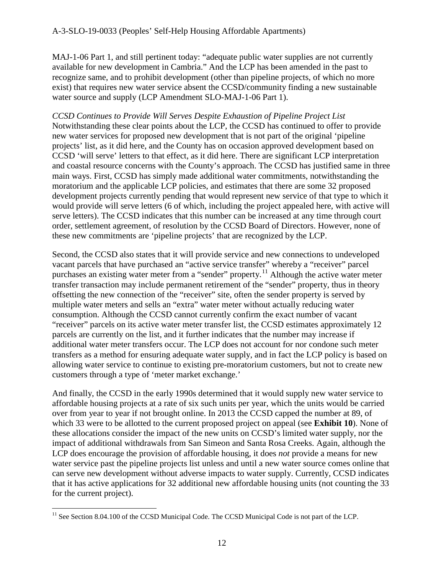MAJ-1-06 Part 1, and still pertinent today: "adequate public water supplies are not currently available for new development in Cambria." And the LCP has been amended in the past to recognize same, and to prohibit development (other than pipeline projects, of which no more exist) that requires new water service absent the CCSD/community finding a new sustainable water source and supply (LCP Amendment SLO-MAJ-1-06 Part 1).

*CCSD Continues to Provide Will Serves Despite Exhaustion of Pipeline Project List*  Notwithstanding these clear points about the LCP, the CCSD has continued to offer to provide new water services for proposed new development that is not part of the original 'pipeline projects' list, as it did here, and the County has on occasion approved development based on CCSD 'will serve' letters to that effect, as it did here. There are significant LCP interpretation and coastal resource concerns with the County's approach. The CCSD has justified same in three main ways. First, CCSD has simply made additional water commitments, notwithstanding the moratorium and the applicable LCP policies, and estimates that there are some 32 proposed development projects currently pending that would represent new service of that type to which it would provide will serve letters (6 of which, including the project appealed here, with active will serve letters). The CCSD indicates that this number can be increased at any time through court order, settlement agreement, of resolution by the CCSD Board of Directors. However, none of these new commitments are 'pipeline projects' that are recognized by the LCP.

Second, the CCSD also states that it will provide service and new connections to undeveloped vacant parcels that have purchased an "active service transfer" whereby a "receiver" parcel purchases an existing water meter from a "sender" property.[11](#page-11-0) Although the active water meter transfer transaction may include permanent retirement of the "sender" property, thus in theory offsetting the new connection of the "receiver" site, often the sender property is served by multiple water meters and sells an "extra" water meter without actually reducing water consumption. Although the CCSD cannot currently confirm the exact number of vacant "receiver" parcels on its active water meter transfer list, the CCSD estimates approximately 12 parcels are currently on the list, and it further indicates that the number may increase if additional water meter transfers occur. The LCP does not account for nor condone such meter transfers as a method for ensuring adequate water supply, and in fact the LCP policy is based on allowing water service to continue to existing pre-moratorium customers, but not to create new customers through a type of 'meter market exchange.'

And finally, the CCSD in the early 1990s determined that it would supply new water service to affordable housing projects at a rate of six such units per year, which the units would be carried over from year to year if not brought online. In 2013 the CCSD capped the number at 89, of which 33 were to be allotted to the current proposed project on appeal (see **Exhibit 10**). None of these allocations consider the impact of the new units on CCSD's limited water supply, nor the impact of additional withdrawals from San Simeon and Santa Rosa Creeks. Again, although the LCP does encourage the provision of affordable housing, it does *not* provide a means for new water service past the pipeline projects list unless and until a new water source comes online that can serve new development without adverse impacts to water supply. Currently, CCSD indicates that it has active applications for 32 additional new affordable housing units (not counting the 33 for the current project).

<span id="page-11-0"></span><sup>&</sup>lt;sup>11</sup> See Section 8.04.100 of the CCSD Municipal Code. The CCSD Municipal Code is not part of the LCP.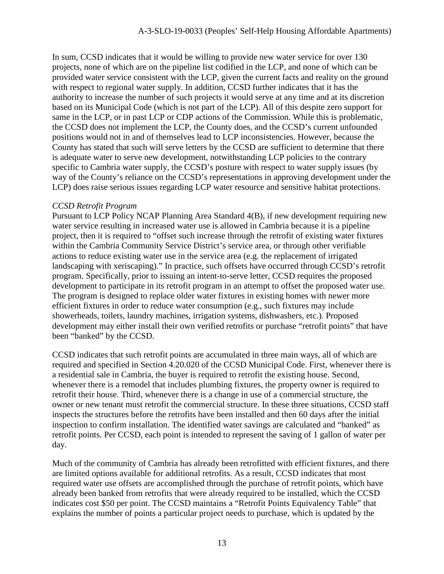In sum, CCSD indicates that it would be willing to provide new water service for over 130 projects, none of which are on the pipeline list codified in the LCP, and none of which can be provided water service consistent with the LCP, given the current facts and reality on the ground with respect to regional water supply. In addition, CCSD further indicates that it has the authority to increase the number of such projects it would serve at any time and at its discretion based on its Municipal Code (which is not part of the LCP). All of this despite zero support for same in the LCP, or in past LCP or CDP actions of the Commission. While this is problematic, the CCSD does not implement the LCP, the County does, and the CCSD's current unfounded positions would not in and of themselves lead to LCP inconsistencies. However, because the County has stated that such will serve letters by the CCSD are sufficient to determine that there is adequate water to serve new development, notwithstanding LCP policies to the contrary specific to Cambria water supply, the CCSD's posture with respect to water supply issues (by way of the County's reliance on the CCSD's representations in approving development under the LCP) does raise serious issues regarding LCP water resource and sensitive habitat protections.

#### *CCSD Retrofit Program*

Pursuant to LCP Policy NCAP Planning Area Standard 4(B), if new development requiring new water service resulting in increased water use is allowed in Cambria because it is a pipeline project, then it is required to "offset such increase through the retrofit of existing water fixtures within the Cambria Community Service District's service area, or through other verifiable actions to reduce existing water use in the service area (e.g. the replacement of irrigated landscaping with xeriscaping)." In practice, such offsets have occurred through CCSD's retrofit program. Specifically, prior to issuing an intent-to-serve letter, CCSD requires the proposed development to participate in its retrofit program in an attempt to offset the proposed water use. The program is designed to replace older water fixtures in existing homes with newer more efficient fixtures in order to reduce water consumption (e.g., such fixtures may include showerheads, toilets, laundry machines, irrigation systems, dishwashers, etc.). Proposed development may either install their own verified retrofits or purchase "retrofit points" that have been "banked" by the CCSD.

CCSD indicates that such retrofit points are accumulated in three main ways, all of which are required and specified in Section 4.20.020 of the CCSD Municipal Code. First, whenever there is a residential sale in Cambria, the buyer is required to retrofit the existing house. Second, whenever there is a remodel that includes plumbing fixtures, the property owner is required to retrofit their house. Third, whenever there is a change in use of a commercial structure, the owner or new tenant must retrofit the commercial structure. In these three situations, CCSD staff inspects the structures before the retrofits have been installed and then 60 days after the initial inspection to confirm installation. The identified water savings are calculated and "banked" as retrofit points. Per CCSD, each point is intended to represent the saving of 1 gallon of water per day.

Much of the community of Cambria has already been retrofitted with efficient fixtures, and there are limited options available for additional retrofits. As a result, CCSD indicates that most required water use offsets are accomplished through the purchase of retrofit points, which have already been banked from retrofits that were already required to be installed, which the CCSD indicates cost \$50 per point. The CCSD maintains a "Retrofit Points Equivalency Table" that explains the number of points a particular project needs to purchase, which is updated by the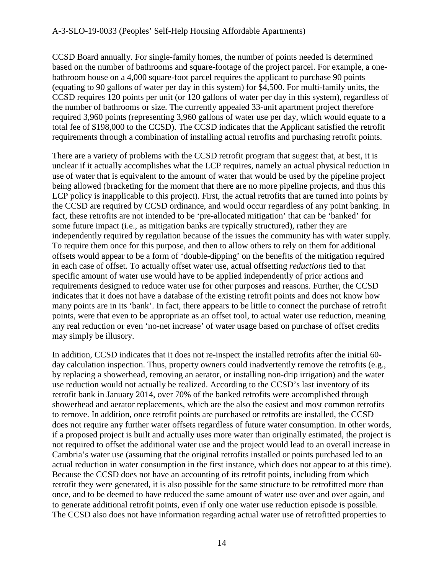#### A-3-SLO-19-0033 (Peoples' Self-Help Housing Affordable Apartments)

CCSD Board annually. For single-family homes, the number of points needed is determined based on the number of bathrooms and square-footage of the project parcel. For example, a onebathroom house on a 4,000 square-foot parcel requires the applicant to purchase 90 points (equating to 90 gallons of water per day in this system) for \$4,500. For multi-family units, the CCSD requires 120 points per unit (or 120 gallons of water per day in this system), regardless of the number of bathrooms or size. The currently appealed 33-unit apartment project therefore required 3,960 points (representing 3,960 gallons of water use per day, which would equate to a total fee of \$198,000 to the CCSD). The CCSD indicates that the Applicant satisfied the retrofit requirements through a combination of installing actual retrofits and purchasing retrofit points.

There are a variety of problems with the CCSD retrofit program that suggest that, at best, it is unclear if it actually accomplishes what the LCP requires, namely an actual physical reduction in use of water that is equivalent to the amount of water that would be used by the pipeline project being allowed (bracketing for the moment that there are no more pipeline projects, and thus this LCP policy is inapplicable to this project). First, the actual retrofits that are turned into points by the CCSD are required by CCSD ordinance, and would occur regardless of any point banking. In fact, these retrofits are not intended to be 'pre-allocated mitigation' that can be 'banked' for some future impact (i.e., as mitigation banks are typically structured), rather they are independently required by regulation because of the issues the community has with water supply. To require them once for this purpose, and then to allow others to rely on them for additional offsets would appear to be a form of 'double-dipping' on the benefits of the mitigation required in each case of offset. To actually offset water use, actual offsetting *reductions* tied to that specific amount of water use would have to be applied independently of prior actions and requirements designed to reduce water use for other purposes and reasons. Further, the CCSD indicates that it does not have a database of the existing retrofit points and does not know how many points are in its 'bank'. In fact, there appears to be little to connect the purchase of retrofit points, were that even to be appropriate as an offset tool, to actual water use reduction, meaning any real reduction or even 'no-net increase' of water usage based on purchase of offset credits may simply be illusory.

In addition, CCSD indicates that it does not re-inspect the installed retrofits after the initial 60 day calculation inspection. Thus, property owners could inadvertently remove the retrofits (e.g., by replacing a showerhead, removing an aerator, or installing non-drip irrigation) and the water use reduction would not actually be realized. According to the CCSD's last inventory of its retrofit bank in January 2014, over 70% of the banked retrofits were accomplished through showerhead and aerator replacements, which are the also the easiest and most common retrofits to remove. In addition, once retrofit points are purchased or retrofits are installed, the CCSD does not require any further water offsets regardless of future water consumption. In other words, if a proposed project is built and actually uses more water than originally estimated, the project is not required to offset the additional water use and the project would lead to an overall increase in Cambria's water use (assuming that the original retrofits installed or points purchased led to an actual reduction in water consumption in the first instance, which does not appear to at this time). Because the CCSD does not have an accounting of its retrofit points, including from which retrofit they were generated, it is also possible for the same structure to be retrofitted more than once, and to be deemed to have reduced the same amount of water use over and over again, and to generate additional retrofit points, even if only one water use reduction episode is possible. The CCSD also does not have information regarding actual water use of retrofitted properties to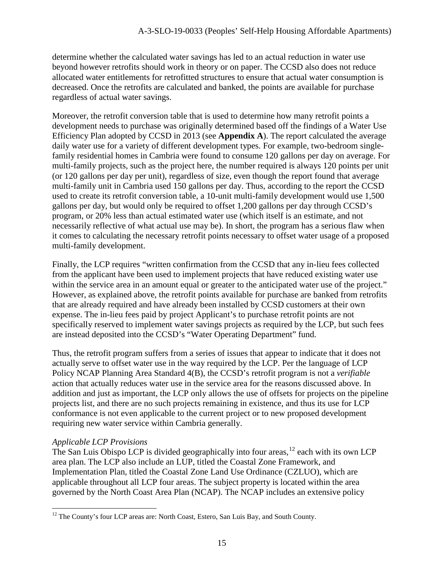determine whether the calculated water savings has led to an actual reduction in water use beyond however retrofits should work in theory or on paper. The CCSD also does not reduce allocated water entitlements for retrofitted structures to ensure that actual water consumption is decreased. Once the retrofits are calculated and banked, the points are available for purchase regardless of actual water savings.

Moreover, the retrofit conversion table that is used to determine how many retrofit points a development needs to purchase was originally determined based off the findings of a Water Use Efficiency Plan adopted by CCSD in 2013 (see **Appendix A**). The report calculated the average daily water use for a variety of different development types. For example, two-bedroom singlefamily residential homes in Cambria were found to consume 120 gallons per day on average. For multi-family projects, such as the project here, the number required is always 120 points per unit (or 120 gallons per day per unit), regardless of size, even though the report found that average multi-family unit in Cambria used 150 gallons per day. Thus, according to the report the CCSD used to create its retrofit conversion table, a 10-unit multi-family development would use 1,500 gallons per day, but would only be required to offset 1,200 gallons per day through CCSD's program, or 20% less than actual estimated water use (which itself is an estimate, and not necessarily reflective of what actual use may be). In short, the program has a serious flaw when it comes to calculating the necessary retrofit points necessary to offset water usage of a proposed multi-family development.

Finally, the LCP requires "written confirmation from the CCSD that any in-lieu fees collected from the applicant have been used to implement projects that have reduced existing water use within the service area in an amount equal or greater to the anticipated water use of the project." However, as explained above, the retrofit points available for purchase are banked from retrofits that are already required and have already been installed by CCSD customers at their own expense. The in-lieu fees paid by project Applicant's to purchase retrofit points are not specifically reserved to implement water savings projects as required by the LCP, but such fees are instead deposited into the CCSD's "Water Operating Department" fund.

Thus, the retrofit program suffers from a series of issues that appear to indicate that it does not actually serve to offset water use in the way required by the LCP. Per the language of LCP Policy NCAP Planning Area Standard 4(B), the CCSD's retrofit program is not a *verifiable* action that actually reduces water use in the service area for the reasons discussed above. In addition and just as important, the LCP only allows the use of offsets for projects on the pipeline projects list, and there are no such projects remaining in existence, and thus its use for LCP conformance is not even applicable to the current project or to new proposed development requiring new water service within Cambria generally.

#### *Applicable LCP Provisions*

 $\overline{a}$ 

The San Luis Obispo LCP is divided geographically into four areas, <sup>[12](#page-14-0)</sup> each with its own LCP area plan. The LCP also include an LUP, titled the Coastal Zone Framework, and Implementation Plan, titled the Coastal Zone Land Use Ordinance (CZLUO), which are applicable throughout all LCP four areas. The subject property is located within the area governed by the North Coast Area Plan (NCAP). The NCAP includes an extensive policy

<span id="page-14-0"></span> $12$  The County's four LCP areas are: North Coast, Estero, San Luis Bay, and South County.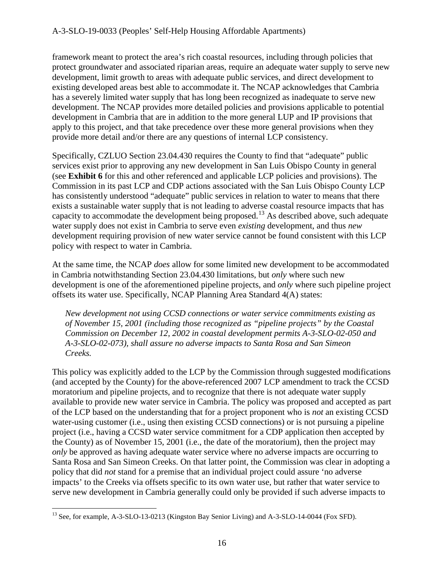#### A-3-SLO-19-0033 (Peoples' Self-Help Housing Affordable Apartments)

framework meant to protect the area's rich coastal resources, including through policies that protect groundwater and associated riparian areas, require an adequate water supply to serve new development, limit growth to areas with adequate public services, and direct development to existing developed areas best able to accommodate it. The NCAP acknowledges that Cambria has a severely limited water supply that has long been recognized as inadequate to serve new development. The NCAP provides more detailed policies and provisions applicable to potential development in Cambria that are in addition to the more general LUP and IP provisions that apply to this project, and that take precedence over these more general provisions when they provide more detail and/or there are any questions of internal LCP consistency.

Specifically, CZLUO Section 23.04.430 requires the County to find that "adequate" public services exist prior to approving any new development in San Luis Obispo County in general (see **Exhibit 6** for this and other referenced and applicable LCP policies and provisions). The Commission in its past LCP and CDP actions associated with the San Luis Obispo County LCP has consistently understood "adequate" public services in relation to water to means that there exists a sustainable water supply that is not leading to adverse coastal resource impacts that has capacity to accommodate the development being proposed.<sup>13</sup> As described above, such adequate water supply does not exist in Cambria to serve even *existing* development, and thus *new* development requiring provision of new water service cannot be found consistent with this LCP policy with respect to water in Cambria.

At the same time, the NCAP *does* allow for some limited new development to be accommodated in Cambria notwithstanding Section 23.04.430 limitations, but *only* where such new development is one of the aforementioned pipeline projects, and *only* where such pipeline project offsets its water use. Specifically, NCAP Planning Area Standard 4(A) states:

*New development not using CCSD connections or water service commitments existing as of November 15, 2001 (including those recognized as "pipeline projects" by the Coastal Commission on December 12, 2002 in coastal development permits A-3-SLO-02-050 and A-3-SLO-02-073), shall assure no adverse impacts to Santa Rosa and San Simeon Creeks.* 

This policy was explicitly added to the LCP by the Commission through suggested modifications (and accepted by the County) for the above-referenced 2007 LCP amendment to track the CCSD moratorium and pipeline projects, and to recognize that there is not adequate water supply available to provide new water service in Cambria. The policy was proposed and accepted as part of the LCP based on the understanding that for a project proponent who is *not* an existing CCSD water-using customer (i.e., using then existing CCSD connections) or is not pursuing a pipeline project (i.e., having a CCSD water service commitment for a CDP application then accepted by the County) as of November 15, 2001 (i.e., the date of the moratorium), then the project may *only* be approved as having adequate water service where no adverse impacts are occurring to Santa Rosa and San Simeon Creeks. On that latter point, the Commission was clear in adopting a policy that did *not* stand for a premise that an individual project could assure 'no adverse impacts' to the Creeks via offsets specific to its own water use, but rather that water service to serve new development in Cambria generally could only be provided if such adverse impacts to

<span id="page-15-0"></span><sup>&</sup>lt;sup>13</sup> See, for example, A-3-SLO-13-0213 (Kingston Bay Senior Living) and A-3-SLO-14-0044 (Fox SFD).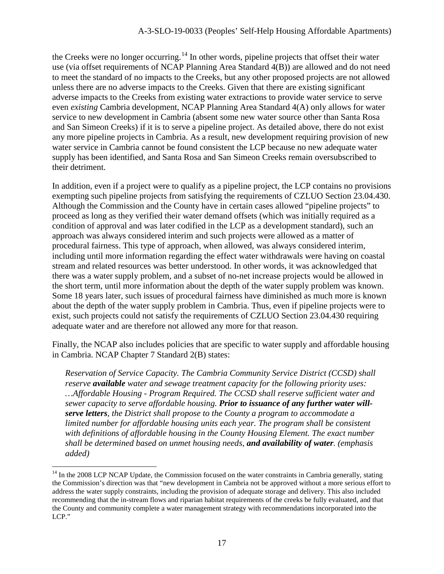the Creeks were no longer occurring.<sup>14</sup> In other words, pipeline projects that offset their water use (via offset requirements of NCAP Planning Area Standard 4(B)) are allowed and do not need to meet the standard of no impacts to the Creeks, but any other proposed projects are not allowed unless there are no adverse impacts to the Creeks. Given that there are existing significant adverse impacts to the Creeks from existing water extractions to provide water service to serve even *existing* Cambria development, NCAP Planning Area Standard 4(A) only allows for water service to new development in Cambria (absent some new water source other than Santa Rosa and San Simeon Creeks) if it is to serve a pipeline project. As detailed above, there do not exist any more pipeline projects in Cambria. As a result, new development requiring provision of new water service in Cambria cannot be found consistent the LCP because no new adequate water supply has been identified, and Santa Rosa and San Simeon Creeks remain oversubscribed to their detriment.

In addition, even if a project were to qualify as a pipeline project, the LCP contains no provisions exempting such pipeline projects from satisfying the requirements of CZLUO Section 23.04.430. Although the Commission and the County have in certain cases allowed "pipeline projects" to proceed as long as they verified their water demand offsets (which was initially required as a condition of approval and was later codified in the LCP as a development standard), such an approach was always considered interim and such projects were allowed as a matter of procedural fairness. This type of approach, when allowed, was always considered interim, including until more information regarding the effect water withdrawals were having on coastal stream and related resources was better understood. In other words, it was acknowledged that there was a water supply problem, and a subset of no-net increase projects would be allowed in the short term, until more information about the depth of the water supply problem was known. Some 18 years later, such issues of procedural fairness have diminished as much more is known about the depth of the water supply problem in Cambria. Thus, even if pipeline projects were to exist, such projects could not satisfy the requirements of CZLUO Section 23.04.430 requiring adequate water and are therefore not allowed any more for that reason.

Finally, the NCAP also includes policies that are specific to water supply and affordable housing in Cambria. NCAP Chapter 7 Standard 2(B) states:

*Reservation of Service Capacity. The Cambria Community Service District (CCSD) shall reserve available water and sewage treatment capacity for the following priority uses: …Affordable Housing - Program Required. The CCSD shall reserve sufficient water and sewer capacity to serve affordable housing. Prior to issuance of any further water willserve letters, the District shall propose to the County a program to accommodate a*  limited number for affordable housing units each year. The program shall be consistent *with definitions of affordable housing in the County Housing Element. The exact number shall be determined based on unmet housing needs, and availability of water. (emphasis added)* 

<span id="page-16-0"></span><sup>&</sup>lt;sup>14</sup> In the 2008 LCP NCAP Update, the Commission focused on the water constraints in Cambria generally, stating the Commission's direction was that "new development in Cambria not be approved without a more serious effort to address the water supply constraints, including the provision of adequate storage and delivery. This also included recommending that the in-stream flows and riparian habitat requirements of the creeks be fully evaluated, and that the County and community complete a water management strategy with recommendations incorporated into the LCP."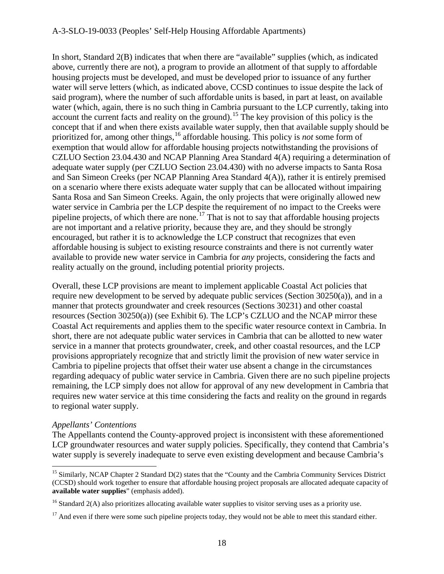#### A-3-SLO-19-0033 (Peoples' Self-Help Housing Affordable Apartments)

In short, Standard 2(B) indicates that when there are "available" supplies (which, as indicated above, currently there are not), a program to provide an allotment of that supply to affordable housing projects must be developed, and must be developed prior to issuance of any further water will serve letters (which, as indicated above, CCSD continues to issue despite the lack of said program), where the number of such affordable units is based, in part at least, on available water (which, again, there is no such thing in Cambria pursuant to the LCP currently, taking into account the current facts and reality on the ground).<sup>15</sup> The key provision of this policy is the concept that if and when there exists available water supply, then that available supply should be prioritized for, among other things,<sup>[16](#page-17-1)</sup> affordable housing. This policy is *not* some form of exemption that would allow for affordable housing projects notwithstanding the provisions of CZLUO Section 23.04.430 and NCAP Planning Area Standard 4(A) requiring a determination of adequate water supply (per CZLUO Section 23.04.430) with no adverse impacts to Santa Rosa and San Simeon Creeks (per NCAP Planning Area Standard 4(A)), rather it is entirely premised on a scenario where there exists adequate water supply that can be allocated without impairing Santa Rosa and San Simeon Creeks. Again, the only projects that were originally allowed new water service in Cambria per the LCP despite the requirement of no impact to the Creeks were pipeline projects, of which there are none.<sup>17</sup> That is not to say that affordable housing projects are not important and a relative priority, because they are, and they should be strongly encouraged, but rather it is to acknowledge the LCP construct that recognizes that even affordable housing is subject to existing resource constraints and there is not currently water available to provide new water service in Cambria for *any* projects, considering the facts and reality actually on the ground, including potential priority projects.

Overall, these LCP provisions are meant to implement applicable Coastal Act policies that require new development to be served by adequate public services (Section 30250(a)), and in a manner that protects groundwater and creek resources (Sections 30231) and other coastal resources (Section 30250(a)) (see Exhibit 6). The LCP's CZLUO and the NCAP mirror these Coastal Act requirements and applies them to the specific water resource context in Cambria. In short, there are not adequate public water services in Cambria that can be allotted to new water service in a manner that protects groundwater, creek, and other coastal resources, and the LCP provisions appropriately recognize that and strictly limit the provision of new water service in Cambria to pipeline projects that offset their water use absent a change in the circumstances regarding adequacy of public water service in Cambria. Given there are no such pipeline projects remaining, the LCP simply does not allow for approval of any new development in Cambria that requires new water service at this time considering the facts and reality on the ground in regards to regional water supply.

#### *Appellants' Contentions*

 $\overline{a}$ 

The Appellants contend the County-approved project is inconsistent with these aforementioned LCP groundwater resources and water supply policies. Specifically, they contend that Cambria's water supply is severely inadequate to serve even existing development and because Cambria's

<span id="page-17-0"></span><sup>&</sup>lt;sup>15</sup> Similarly, NCAP Chapter 2 Standard  $D(2)$  states that the "County and the Cambria Community Services District (CCSD) should work together to ensure that affordable housing project proposals are allocated adequate capacity of **available water supplies**" (emphasis added).

<span id="page-17-1"></span> $16$  Standard 2(A) also prioritizes allocating available water supplies to visitor serving uses as a priority use.

<span id="page-17-2"></span> $17$  And even if there were some such pipeline projects today, they would not be able to meet this standard either.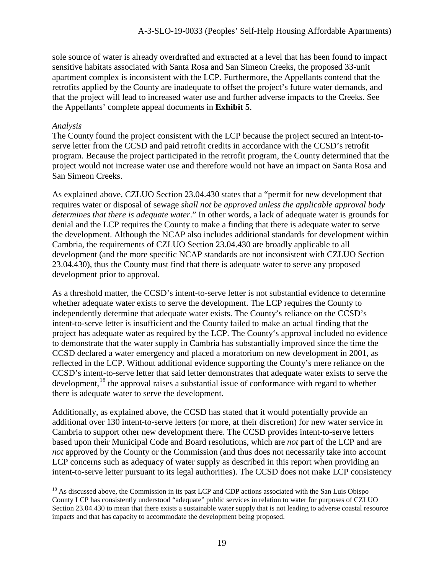sole source of water is already overdrafted and extracted at a level that has been found to impact sensitive habitats associated with Santa Rosa and San Simeon Creeks, the proposed 33-unit apartment complex is inconsistent with the LCP. Furthermore, the Appellants contend that the retrofits applied by the County are inadequate to offset the project's future water demands, and that the project will lead to increased water use and further adverse impacts to the Creeks. See the Appellants' complete appeal documents in **Exhibit 5**.

#### *Analysis*

 $\overline{a}$ 

The County found the project consistent with the LCP because the project secured an intent-toserve letter from the CCSD and paid retrofit credits in accordance with the CCSD's retrofit program. Because the project participated in the retrofit program, the County determined that the project would not increase water use and therefore would not have an impact on Santa Rosa and San Simeon Creeks.

As explained above, CZLUO Section 23.04.430 states that a "permit for new development that requires water or disposal of sewage *shall not be approved unless the applicable approval body determines that there is adequate water*." In other words, a lack of adequate water is grounds for denial and the LCP requires the County to make a finding that there is adequate water to serve the development. Although the NCAP also includes additional standards for development within Cambria, the requirements of CZLUO Section 23.04.430 are broadly applicable to all development (and the more specific NCAP standards are not inconsistent with CZLUO Section 23.04.430), thus the County must find that there is adequate water to serve any proposed development prior to approval.

As a threshold matter, the CCSD's intent-to-serve letter is not substantial evidence to determine whether adequate water exists to serve the development. The LCP requires the County to independently determine that adequate water exists. The County's reliance on the CCSD's intent-to-serve letter is insufficient and the County failed to make an actual finding that the project has adequate water as required by the LCP. The County's approval included no evidence to demonstrate that the water supply in Cambria has substantially improved since the time the CCSD declared a water emergency and placed a moratorium on new development in 2001, as reflected in the LCP. Without additional evidence supporting the County's mere reliance on the CCSD's intent-to-serve letter that said letter demonstrates that adequate water exists to serve the development,<sup>18</sup> the approval raises a substantial issue of conformance with regard to whether there is adequate water to serve the development.

Additionally, as explained above, the CCSD has stated that it would potentially provide an additional over 130 intent-to-serve letters (or more, at their discretion) for new water service in Cambria to support other new development there. The CCSD provides intent-to-serve letters based upon their Municipal Code and Board resolutions, which are *not* part of the LCP and are *not* approved by the County or the Commission (and thus does not necessarily take into account LCP concerns such as adequacy of water supply as described in this report when providing an intent-to-serve letter pursuant to its legal authorities). The CCSD does not make LCP consistency

<span id="page-18-0"></span><sup>&</sup>lt;sup>18</sup> As discussed above, the Commission in its past LCP and CDP actions associated with the San Luis Obispo County LCP has consistently understood "adequate" public services in relation to water for purposes of CZLUO Section 23.04.430 to mean that there exists a sustainable water supply that is not leading to adverse coastal resource impacts and that has capacity to accommodate the development being proposed.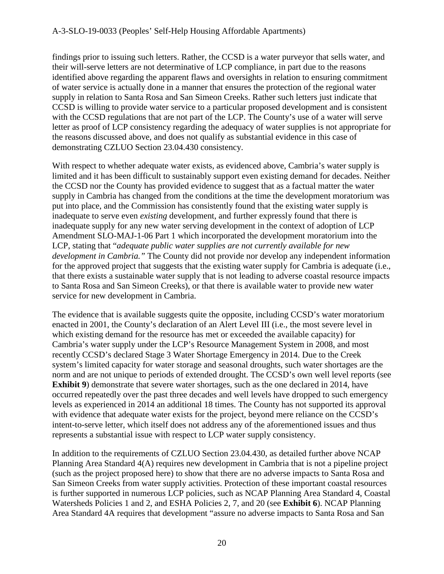findings prior to issuing such letters. Rather, the CCSD is a water purveyor that sells water, and their will-serve letters are not determinative of LCP compliance, in part due to the reasons identified above regarding the apparent flaws and oversights in relation to ensuring commitment of water service is actually done in a manner that ensures the protection of the regional water supply in relation to Santa Rosa and San Simeon Creeks. Rather such letters just indicate that CCSD is willing to provide water service to a particular proposed development and is consistent with the CCSD regulations that are not part of the LCP. The County's use of a water will serve letter as proof of LCP consistency regarding the adequacy of water supplies is not appropriate for the reasons discussed above, and does not qualify as substantial evidence in this case of demonstrating CZLUO Section 23.04.430 consistency.

With respect to whether adequate water exists, as evidenced above, Cambria's water supply is limited and it has been difficult to sustainably support even existing demand for decades. Neither the CCSD nor the County has provided evidence to suggest that as a factual matter the water supply in Cambria has changed from the conditions at the time the development moratorium was put into place, and the Commission has consistently found that the existing water supply is inadequate to serve even *existing* development, and further expressly found that there is inadequate supply for any new water serving development in the context of adoption of LCP Amendment SLO-MAJ-1-06 Part 1 which incorporated the development moratorium into the LCP, stating that "*adequate public water supplies are not currently available for new development in Cambria."* The County did not provide nor develop any independent information for the approved project that suggests that the existing water supply for Cambria is adequate (i.e., that there exists a sustainable water supply that is not leading to adverse coastal resource impacts to Santa Rosa and San Simeon Creeks), or that there is available water to provide new water service for new development in Cambria.

The evidence that is available suggests quite the opposite, including CCSD's water moratorium enacted in 2001, the County's declaration of an Alert Level III (i.e., the most severe level in which existing demand for the resource has met or exceeded the available capacity) for Cambria's water supply under the LCP's Resource Management System in 2008, and most recently CCSD's declared Stage 3 Water Shortage Emergency in 2014. Due to the Creek system's limited capacity for water storage and seasonal droughts, such water shortages are the norm and are not unique to periods of extended drought. The CCSD's own well level reports (see **Exhibit 9**) demonstrate that severe water shortages, such as the one declared in 2014, have occurred repeatedly over the past three decades and well levels have dropped to such emergency levels as experienced in 2014 an additional 18 times. The County has not supported its approval with evidence that adequate water exists for the project, beyond mere reliance on the CCSD's intent-to-serve letter, which itself does not address any of the aforementioned issues and thus represents a substantial issue with respect to LCP water supply consistency.

In addition to the requirements of CZLUO Section 23.04.430, as detailed further above NCAP Planning Area Standard 4(A) requires new development in Cambria that is not a pipeline project (such as the project proposed here) to show that there are no adverse impacts to Santa Rosa and San Simeon Creeks from water supply activities. Protection of these important coastal resources is further supported in numerous LCP policies, such as NCAP Planning Area Standard 4, Coastal Watersheds Policies 1 and 2, and ESHA Policies 2, 7, and 20 (see **Exhibit 6**). NCAP Planning Area Standard 4A requires that development "assure no adverse impacts to Santa Rosa and San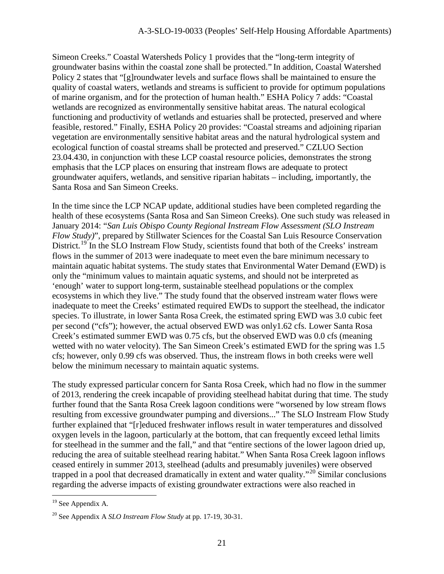Simeon Creeks." Coastal Watersheds Policy 1 provides that the "long-term integrity of groundwater basins within the coastal zone shall be protected." In addition, Coastal Watershed Policy 2 states that "[g]roundwater levels and surface flows shall be maintained to ensure the quality of coastal waters, wetlands and streams is sufficient to provide for optimum populations of marine organism, and for the protection of human health." ESHA Policy 7 adds: "Coastal wetlands are recognized as environmentally sensitive habitat areas. The natural ecological functioning and productivity of wetlands and estuaries shall be protected, preserved and where feasible, restored." Finally, ESHA Policy 20 provides: "Coastal streams and adjoining riparian vegetation are environmentally sensitive habitat areas and the natural hydrological system and ecological function of coastal streams shall be protected and preserved." CZLUO Section 23.04.430, in conjunction with these LCP coastal resource policies, demonstrates the strong emphasis that the LCP places on ensuring that instream flows are adequate to protect groundwater aquifers, wetlands, and sensitive riparian habitats – including, importantly, the Santa Rosa and San Simeon Creeks.

In the time since the LCP NCAP update, additional studies have been completed regarding the health of these ecosystems (Santa Rosa and San Simeon Creeks). One such study was released in January 2014: "*San Luis Obispo County Regional Instream Flow Assessment (SLO Instream Flow Study)*", prepared by Stillwater Sciences for the Coastal San Luis Resource Conservation District.<sup>19</sup> In the SLO Instream Flow Study, scientists found that both of the Creeks' instream flows in the summer of 2013 were inadequate to meet even the bare minimum necessary to maintain aquatic habitat systems. The study states that Environmental Water Demand (EWD) is only the "minimum values to maintain aquatic systems, and should not be interpreted as 'enough' water to support long-term, sustainable steelhead populations or the complex ecosystems in which they live." The study found that the observed instream water flows were inadequate to meet the Creeks' estimated required EWDs to support the steelhead, the indicator species. To illustrate, in lower Santa Rosa Creek, the estimated spring EWD was 3.0 cubic feet per second ("cfs"); however, the actual observed EWD was only1.62 cfs. Lower Santa Rosa Creek's estimated summer EWD was 0.75 cfs, but the observed EWD was 0.0 cfs (meaning wetted with no water velocity). The San Simeon Creek's estimated EWD for the spring was 1.5 cfs; however, only 0.99 cfs was observed. Thus, the instream flows in both creeks were well below the minimum necessary to maintain aquatic systems.

The study expressed particular concern for Santa Rosa Creek, which had no flow in the summer of 2013, rendering the creek incapable of providing steelhead habitat during that time. The study further found that the Santa Rosa Creek lagoon conditions were "worsened by low stream flows resulting from excessive groundwater pumping and diversions..." The SLO Instream Flow Study further explained that "[r]educed freshwater inflows result in water temperatures and dissolved oxygen levels in the lagoon, particularly at the bottom, that can frequently exceed lethal limits for steelhead in the summer and the fall," and that "entire sections of the lower lagoon dried up, reducing the area of suitable steelhead rearing habitat." When Santa Rosa Creek lagoon inflows ceased entirely in summer 2013, steelhead (adults and presumably juveniles) were observed trapped in a pool that decreased dramatically in extent and water quality."<sup>[20](#page-20-1)</sup> Similar conclusions regarding the adverse impacts of existing groundwater extractions were also reached in

<span id="page-20-0"></span> $19$  See Appendix A.

<span id="page-20-1"></span><sup>20</sup> See Appendix A *SLO Instream Flow Study* at pp. 17-19, 30-31.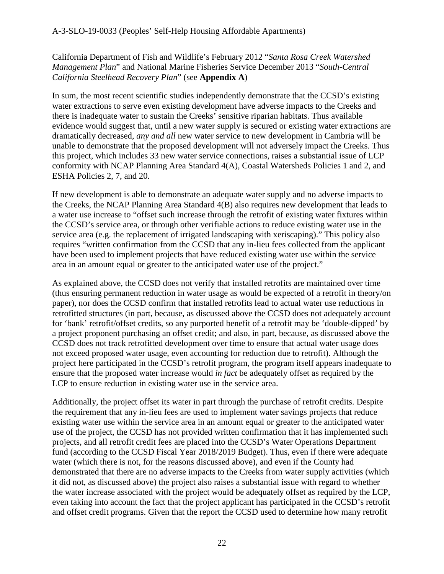California Department of Fish and Wildlife's February 2012 "*Santa Rosa Creek Watershed Management Plan*" and National Marine Fisheries Service December 2013 "*South-Central California Steelhead Recovery Plan*" (see **Appendix A**)

In sum, the most recent scientific studies independently demonstrate that the CCSD's existing water extractions to serve even existing development have adverse impacts to the Creeks and there is inadequate water to sustain the Creeks' sensitive riparian habitats. Thus available evidence would suggest that, until a new water supply is secured or existing water extractions are dramatically decreased, *any and all* new water service to new development in Cambria will be unable to demonstrate that the proposed development will not adversely impact the Creeks. Thus this project, which includes 33 new water service connections, raises a substantial issue of LCP conformity with NCAP Planning Area Standard 4(A), Coastal Watersheds Policies 1 and 2, and ESHA Policies 2, 7, and 20.

If new development is able to demonstrate an adequate water supply and no adverse impacts to the Creeks, the NCAP Planning Area Standard 4(B) also requires new development that leads to a water use increase to "offset such increase through the retrofit of existing water fixtures within the CCSD's service area, or through other verifiable actions to reduce existing water use in the service area (e.g. the replacement of irrigated landscaping with xeriscaping)." This policy also requires "written confirmation from the CCSD that any in-lieu fees collected from the applicant have been used to implement projects that have reduced existing water use within the service area in an amount equal or greater to the anticipated water use of the project."

As explained above, the CCSD does not verify that installed retrofits are maintained over time (thus ensuring permanent reduction in water usage as would be expected of a retrofit in theory/on paper), nor does the CCSD confirm that installed retrofits lead to actual water use reductions in retrofitted structures (in part, because, as discussed above the CCSD does not adequately account for 'bank' retrofit/offset credits, so any purported benefit of a retrofit may be 'double-dipped' by a project proponent purchasing an offset credit; and also, in part, because, as discussed above the CCSD does not track retrofitted development over time to ensure that actual water usage does not exceed proposed water usage, even accounting for reduction due to retrofit). Although the project here participated in the CCSD's retrofit program, the program itself appears inadequate to ensure that the proposed water increase would *in fact* be adequately offset as required by the LCP to ensure reduction in existing water use in the service area.

Additionally, the project offset its water in part through the purchase of retrofit credits. Despite the requirement that any in-lieu fees are used to implement water savings projects that reduce existing water use within the service area in an amount equal or greater to the anticipated water use of the project, the CCSD has not provided written confirmation that it has implemented such projects, and all retrofit credit fees are placed into the CCSD's Water Operations Department fund (according to the CCSD Fiscal Year 2018/2019 Budget). Thus, even if there were adequate water (which there is not, for the reasons discussed above), and even if the County had demonstrated that there are no adverse impacts to the Creeks from water supply activities (which it did not, as discussed above) the project also raises a substantial issue with regard to whether the water increase associated with the project would be adequately offset as required by the LCP, even taking into account the fact that the project applicant has participated in the CCSD's retrofit and offset credit programs. Given that the report the CCSD used to determine how many retrofit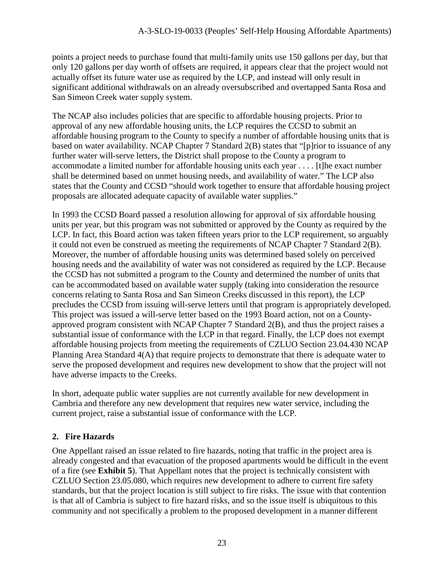points a project needs to purchase found that multi-family units use 150 gallons per day, but that only 120 gallons per day worth of offsets are required, it appears clear that the project would not actually offset its future water use as required by the LCP, and instead will only result in significant additional withdrawals on an already oversubscribed and overtapped Santa Rosa and San Simeon Creek water supply system.

The NCAP also includes policies that are specific to affordable housing projects. Prior to approval of any new affordable housing units, the LCP requires the CCSD to submit an affordable housing program to the County to specify a number of affordable housing units that is based on water availability. NCAP Chapter 7 Standard 2(B) states that "[p]rior to issuance of any further water will-serve letters, the District shall propose to the County a program to accommodate a limited number for affordable housing units each year . . . . [t]he exact number shall be determined based on unmet housing needs, and availability of water." The LCP also states that the County and CCSD "should work together to ensure that affordable housing project proposals are allocated adequate capacity of available water supplies."

In 1993 the CCSD Board passed a resolution allowing for approval of six affordable housing units per year, but this program was not submitted or approved by the County as required by the LCP. In fact, this Board action was taken fifteen years prior to the LCP requirement, so arguably it could not even be construed as meeting the requirements of NCAP Chapter 7 Standard 2(B). Moreover, the number of affordable housing units was determined based solely on perceived housing needs and the availability of water was not considered as required by the LCP. Because the CCSD has not submitted a program to the County and determined the number of units that can be accommodated based on available water supply (taking into consideration the resource concerns relating to Santa Rosa and San Simeon Creeks discussed in this report), the LCP precludes the CCSD from issuing will-serve letters until that program is appropriately developed. This project was issued a will-serve letter based on the 1993 Board action, not on a Countyapproved program consistent with NCAP Chapter 7 Standard 2(B), and thus the project raises a substantial issue of conformance with the LCP in that regard. Finally, the LCP does not exempt affordable housing projects from meeting the requirements of CZLUO Section 23.04.430 NCAP Planning Area Standard 4(A) that require projects to demonstrate that there is adequate water to serve the proposed development and requires new development to show that the project will not have adverse impacts to the Creeks.

In short, adequate public water supplies are not currently available for new development in Cambria and therefore any new development that requires new water service, including the current project, raise a substantial issue of conformance with the LCP.

## **2. Fire Hazards**

One Appellant raised an issue related to fire hazards, noting that traffic in the project area is already congested and that evacuation of the proposed apartments would be difficult in the event of a fire (see **Exhibit 5**). That Appellant notes that the project is technically consistent with CZLUO Section 23.05.080, which requires new development to adhere to current fire safety standards, but that the project location is still subject to fire risks. The issue with that contention is that all of Cambria is subject to fire hazard risks, and so the issue itself is ubiquitous to this community and not specifically a problem to the proposed development in a manner different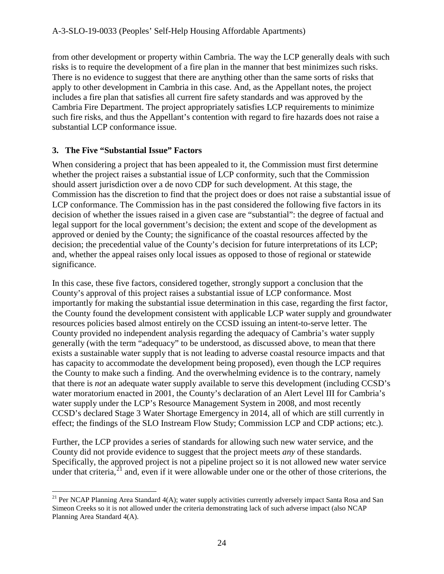from other development or property within Cambria. The way the LCP generally deals with such risks is to require the development of a fire plan in the manner that best minimizes such risks. There is no evidence to suggest that there are anything other than the same sorts of risks that apply to other development in Cambria in this case. And, as the Appellant notes, the project includes a fire plan that satisfies all current fire safety standards and was approved by the Cambria Fire Department. The project appropriately satisfies LCP requirements to minimize such fire risks, and thus the Appellant's contention with regard to fire hazards does not raise a substantial LCP conformance issue.

## **3. The Five "Substantial Issue" Factors**

When considering a project that has been appealed to it, the Commission must first determine whether the project raises a substantial issue of LCP conformity, such that the Commission should assert jurisdiction over a de novo CDP for such development. At this stage, the Commission has the discretion to find that the project does or does not raise a substantial issue of LCP conformance. The Commission has in the past considered the following five factors in its decision of whether the issues raised in a given case are "substantial": the degree of factual and legal support for the local government's decision; the extent and scope of the development as approved or denied by the County; the significance of the coastal resources affected by the decision; the precedential value of the County's decision for future interpretations of its LCP; and, whether the appeal raises only local issues as opposed to those of regional or statewide significance.

In this case, these five factors, considered together, strongly support a conclusion that the County's approval of this project raises a substantial issue of LCP conformance. Most importantly for making the substantial issue determination in this case, regarding the first factor, the County found the development consistent with applicable LCP water supply and groundwater resources policies based almost entirely on the CCSD issuing an intent-to-serve letter. The County provided no independent analysis regarding the adequacy of Cambria's water supply generally (with the term "adequacy" to be understood, as discussed above, to mean that there exists a sustainable water supply that is not leading to adverse coastal resource impacts and that has capacity to accommodate the development being proposed), even though the LCP requires the County to make such a finding. And the overwhelming evidence is to the contrary, namely that there is *not* an adequate water supply available to serve this development (including CCSD's water moratorium enacted in 2001, the County's declaration of an Alert Level III for Cambria's water supply under the LCP's Resource Management System in 2008, and most recently CCSD's declared Stage 3 Water Shortage Emergency in 2014, all of which are still currently in effect; the findings of the SLO Instream Flow Study; Commission LCP and CDP actions; etc.).

Further, the LCP provides a series of standards for allowing such new water service, and the County did not provide evidence to suggest that the project meets *any* of these standards. Specifically, the approved project is not a pipeline project so it is not allowed new water service under that criteria,  $2^{1}$  and, even if it were allowable under one or the other of those criterions, the

<span id="page-23-0"></span> $\overline{a}$ <sup>21</sup> Per NCAP Planning Area Standard  $4(A)$ ; water supply activities currently adversely impact Santa Rosa and San Simeon Creeks so it is not allowed under the criteria demonstrating lack of such adverse impact (also NCAP Planning Area Standard 4(A).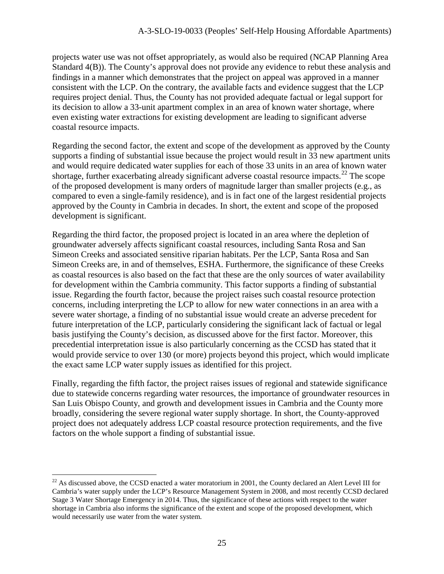projects water use was not offset appropriately, as would also be required (NCAP Planning Area Standard 4(B)). The County's approval does not provide any evidence to rebut these analysis and findings in a manner which demonstrates that the project on appeal was approved in a manner consistent with the LCP. On the contrary, the available facts and evidence suggest that the LCP requires project denial. Thus, the County has not provided adequate factual or legal support for its decision to allow a 33-unit apartment complex in an area of known water shortage, where even existing water extractions for existing development are leading to significant adverse coastal resource impacts.

Regarding the second factor, the extent and scope of the development as approved by the County supports a finding of substantial issue because the project would result in 33 new apartment units and would require dedicated water supplies for each of those 33 units in an area of known water shortage, further exacerbating already significant adverse coastal resource impacts.<sup>[22](#page-24-0)</sup> The scope of the proposed development is many orders of magnitude larger than smaller projects (e.g., as compared to even a single-family residence), and is in fact one of the largest residential projects approved by the County in Cambria in decades. In short, the extent and scope of the proposed development is significant.

Regarding the third factor, the proposed project is located in an area where the depletion of groundwater adversely affects significant coastal resources, including Santa Rosa and San Simeon Creeks and associated sensitive riparian habitats. Per the LCP, Santa Rosa and San Simeon Creeks are, in and of themselves, ESHA. Furthermore, the significance of these Creeks as coastal resources is also based on the fact that these are the only sources of water availability for development within the Cambria community. This factor supports a finding of substantial issue. Regarding the fourth factor, because the project raises such coastal resource protection concerns, including interpreting the LCP to allow for new water connections in an area with a severe water shortage, a finding of no substantial issue would create an adverse precedent for future interpretation of the LCP, particularly considering the significant lack of factual or legal basis justifying the County's decision, as discussed above for the first factor. Moreover, this precedential interpretation issue is also particularly concerning as the CCSD has stated that it would provide service to over 130 (or more) projects beyond this project, which would implicate the exact same LCP water supply issues as identified for this project.

Finally, regarding the fifth factor, the project raises issues of regional and statewide significance due to statewide concerns regarding water resources, the importance of groundwater resources in San Luis Obispo County, and growth and development issues in Cambria and the County more broadly, considering the severe regional water supply shortage. In short, the County-approved project does not adequately address LCP coastal resource protection requirements, and the five factors on the whole support a finding of substantial issue.

<span id="page-24-0"></span> $^{22}$  As discussed above, the CCSD enacted a water moratorium in 2001, the County declared an Alert Level III for Cambria's water supply under the LCP's Resource Management System in 2008, and most recently CCSD declared Stage 3 Water Shortage Emergency in 2014. Thus, the significance of these actions with respect to the water shortage in Cambria also informs the significance of the extent and scope of the proposed development, which would necessarily use water from the water system.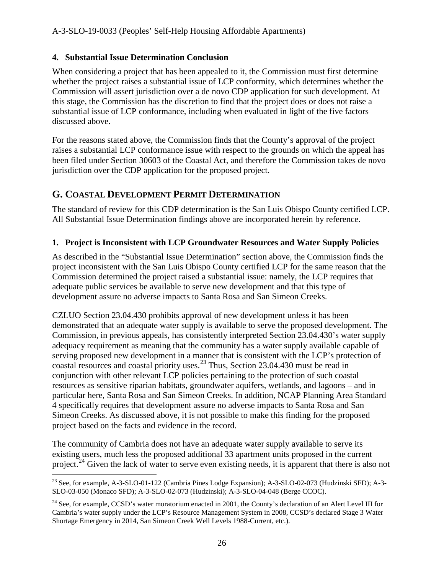## **4. Substantial Issue Determination Conclusion**

When considering a project that has been appealed to it, the Commission must first determine whether the project raises a substantial issue of LCP conformity, which determines whether the Commission will assert jurisdiction over a de novo CDP application for such development. At this stage, the Commission has the discretion to find that the project does or does not raise a substantial issue of LCP conformance, including when evaluated in light of the five factors discussed above.

For the reasons stated above, the Commission finds that the County's approval of the project raises a substantial LCP conformance issue with respect to the grounds on which the appeal has been filed under Section 30603 of the Coastal Act, and therefore the Commission takes de novo jurisdiction over the CDP application for the proposed project.

## **G. COASTAL DEVELOPMENT PERMIT DETERMINATION**

The standard of review for this CDP determination is the San Luis Obispo County certified LCP. All Substantial Issue Determination findings above are incorporated herein by reference.

## **1. Project is Inconsistent with LCP Groundwater Resources and Water Supply Policies**

As described in the "Substantial Issue Determination" section above, the Commission finds the project inconsistent with the San Luis Obispo County certified LCP for the same reason that the Commission determined the project raised a substantial issue: namely, the LCP requires that adequate public services be available to serve new development and that this type of development assure no adverse impacts to Santa Rosa and San Simeon Creeks.

CZLUO Section 23.04.430 prohibits approval of new development unless it has been demonstrated that an adequate water supply is available to serve the proposed development. The Commission, in previous appeals, has consistently interpreted Section 23.04.430's water supply adequacy requirement as meaning that the community has a water supply available capable of serving proposed new development in a manner that is consistent with the LCP's protection of coastal resources and coastal priority uses.<sup>23</sup> Thus, Section 23.04.430 must be read in conjunction with other relevant LCP policies pertaining to the protection of such coastal resources as sensitive riparian habitats, groundwater aquifers, wetlands, and lagoons – and in particular here, Santa Rosa and San Simeon Creeks. In addition, NCAP Planning Area Standard 4 specifically requires that development assure no adverse impacts to Santa Rosa and San Simeon Creeks. As discussed above, it is not possible to make this finding for the proposed project based on the facts and evidence in the record.

The community of Cambria does not have an adequate water supply available to serve its existing users, much less the proposed additional 33 apartment units proposed in the current project.<sup>[24](#page-25-1)</sup> Given the lack of water to serve even existing needs, it is apparent that there is also not

<span id="page-25-0"></span> $\overline{a}$ <sup>23</sup> See, for example, A-3-SLO-01-122 (Cambria Pines Lodge Expansion); A-3-SLO-02-073 (Hudzinski SFD); A-3-SLO-03-050 (Monaco SFD); A-3-SLO-02-073 (Hudzinski); A-3-SLO-04-048 (Berge CCOC).

<span id="page-25-1"></span><sup>&</sup>lt;sup>24</sup> See, for example, CCSD's water moratorium enacted in 2001, the County's declaration of an Alert Level III for Cambria's water supply under the LCP's Resource Management System in 2008, CCSD's declared Stage 3 Water Shortage Emergency in 2014, San Simeon Creek Well Levels 1988-Current, etc.).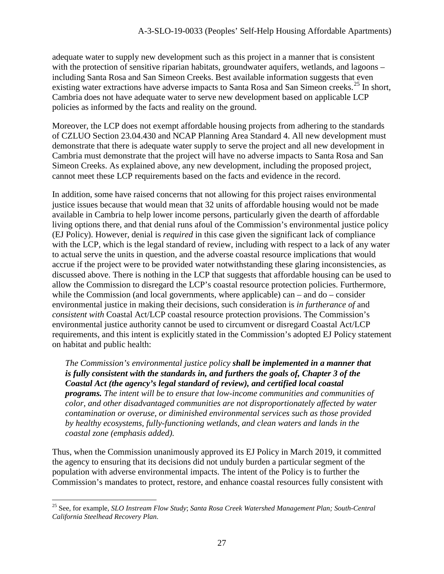adequate water to supply new development such as this project in a manner that is consistent with the protection of sensitive riparian habitats, groundwater aquifers, wetlands, and lagoons – including Santa Rosa and San Simeon Creeks. Best available information suggests that even existing water extractions have adverse impacts to Santa Rosa and San Simeon creeks.<sup>[25](#page-26-0)</sup> In short, Cambria does not have adequate water to serve new development based on applicable LCP policies as informed by the facts and reality on the ground.

Moreover, the LCP does not exempt affordable housing projects from adhering to the standards of CZLUO Section 23.04.430 and NCAP Planning Area Standard 4. All new development must demonstrate that there is adequate water supply to serve the project and all new development in Cambria must demonstrate that the project will have no adverse impacts to Santa Rosa and San Simeon Creeks. As explained above, any new development, including the proposed project, cannot meet these LCP requirements based on the facts and evidence in the record.

In addition, some have raised concerns that not allowing for this project raises environmental justice issues because that would mean that 32 units of affordable housing would not be made available in Cambria to help lower income persons, particularly given the dearth of affordable living options there, and that denial runs afoul of the Commission's environmental justice policy (EJ Policy). However, denial is *required* in this case given the significant lack of compliance with the LCP, which is the legal standard of review, including with respect to a lack of any water to actual serve the units in question, and the adverse coastal resource implications that would accrue if the project were to be provided water notwithstanding these glaring inconsistencies, as discussed above. There is nothing in the LCP that suggests that affordable housing can be used to allow the Commission to disregard the LCP's coastal resource protection policies. Furthermore, while the Commission (and local governments, where applicable) can – and do – consider environmental justice in making their decisions, such consideration is *in furtherance of* and *consistent with* Coastal Act/LCP coastal resource protection provisions. The Commission's environmental justice authority cannot be used to circumvent or disregard Coastal Act/LCP requirements, and this intent is explicitly stated in the Commission's adopted EJ Policy statement on habitat and public health:

*The Commission's environmental justice policy shall be implemented in a manner that is fully consistent with the standards in, and furthers the goals of, Chapter 3 of the Coastal Act (the agency's legal standard of review), and certified local coastal programs. The intent will be to ensure that low-income communities and communities of color, and other disadvantaged communities are not disproportionately affected by water contamination or overuse, or diminished environmental services such as those provided by healthy ecosystems, fully-functioning wetlands, and clean waters and lands in the coastal zone (emphasis added).* 

Thus, when the Commission unanimously approved its EJ Policy in March 2019, it committed the agency to ensuring that its decisions did not unduly burden a particular segment of the population with adverse environmental impacts. The intent of the Policy is to further the Commission's mandates to protect, restore, and enhance coastal resources fully consistent with

<span id="page-26-0"></span> $\overline{a}$ <sup>25</sup> See, for example, *SLO Instream Flow Study*; *Santa Rosa Creek Watershed Management Plan; South-Central California Steelhead Recovery Plan.*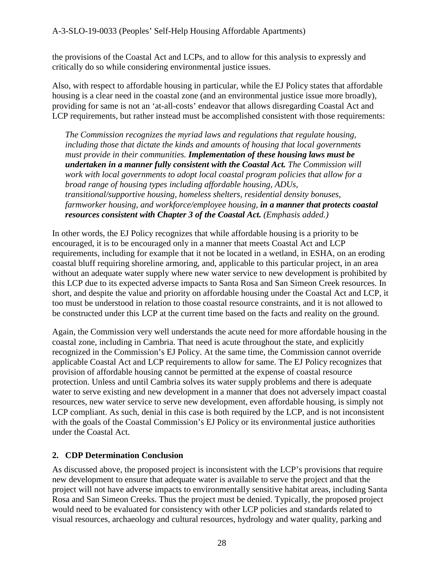the provisions of the Coastal Act and LCPs, and to allow for this analysis to expressly and critically do so while considering environmental justice issues.

Also, with respect to affordable housing in particular, while the EJ Policy states that affordable housing is a clear need in the coastal zone (and an environmental justice issue more broadly), providing for same is not an 'at-all-costs' endeavor that allows disregarding Coastal Act and LCP requirements, but rather instead must be accomplished consistent with those requirements:

*The Commission recognizes the myriad laws and regulations that regulate housing, including those that dictate the kinds and amounts of housing that local governments must provide in their communities. Implementation of these housing laws must be undertaken in a manner fully consistent with the Coastal Act. The Commission will work with local governments to adopt local coastal program policies that allow for a broad range of housing types including affordable housing, ADUs, transitional/supportive housing, homeless shelters, residential density bonuses, farmworker housing, and workforce/employee housing, in a manner that protects coastal resources consistent with Chapter 3 of the Coastal Act. (Emphasis added.)* 

In other words, the EJ Policy recognizes that while affordable housing is a priority to be encouraged, it is to be encouraged only in a manner that meets Coastal Act and LCP requirements, including for example that it not be located in a wetland, in ESHA, on an eroding coastal bluff requiring shoreline armoring, and, applicable to this particular project, in an area without an adequate water supply where new water service to new development is prohibited by this LCP due to its expected adverse impacts to Santa Rosa and San Simeon Creek resources. In short, and despite the value and priority on affordable housing under the Coastal Act and LCP, it too must be understood in relation to those coastal resource constraints, and it is not allowed to be constructed under this LCP at the current time based on the facts and reality on the ground.

Again, the Commission very well understands the acute need for more affordable housing in the coastal zone, including in Cambria. That need is acute throughout the state, and explicitly recognized in the Commission's EJ Policy. At the same time, the Commission cannot override applicable Coastal Act and LCP requirements to allow for same. The EJ Policy recognizes that provision of affordable housing cannot be permitted at the expense of coastal resource protection. Unless and until Cambria solves its water supply problems and there is adequate water to serve existing and new development in a manner that does not adversely impact coastal resources, new water service to serve new development, even affordable housing, is simply not LCP compliant. As such, denial in this case is both required by the LCP, and is not inconsistent with the goals of the Coastal Commission's EJ Policy or its environmental justice authorities under the Coastal Act.

## **2. CDP Determination Conclusion**

As discussed above, the proposed project is inconsistent with the LCP's provisions that require new development to ensure that adequate water is available to serve the project and that the project will not have adverse impacts to environmentally sensitive habitat areas, including Santa Rosa and San Simeon Creeks. Thus the project must be denied. Typically, the proposed project would need to be evaluated for consistency with other LCP policies and standards related to visual resources, archaeology and cultural resources, hydrology and water quality, parking and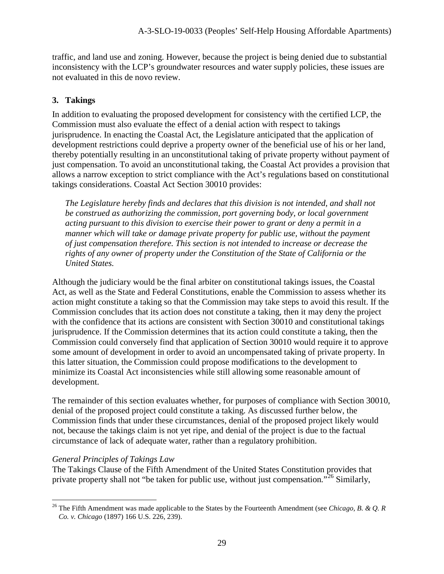traffic, and land use and zoning. However, because the project is being denied due to substantial inconsistency with the LCP's groundwater resources and water supply policies, these issues are not evaluated in this de novo review.

## **3. Takings**

In addition to evaluating the proposed development for consistency with the certified LCP, the Commission must also evaluate the effect of a denial action with respect to takings jurisprudence. In enacting the Coastal Act, the Legislature anticipated that the application of development restrictions could deprive a property owner of the beneficial use of his or her land, thereby potentially resulting in an unconstitutional taking of private property without payment of just compensation. To avoid an unconstitutional taking, the Coastal Act provides a provision that allows a narrow exception to strict compliance with the Act's regulations based on constitutional takings considerations. Coastal Act Section 30010 provides:

*The Legislature hereby finds and declares that this division is not intended, and shall not be construed as authorizing the commission, port governing body, or local government acting pursuant to this division to exercise their power to grant or deny a permit in a manner which will take or damage private property for public use, without the payment of just compensation therefore. This section is not intended to increase or decrease the rights of any owner of property under the Constitution of the State of California or the United States.* 

Although the judiciary would be the final arbiter on constitutional takings issues, the Coastal Act, as well as the State and Federal Constitutions, enable the Commission to assess whether its action might constitute a taking so that the Commission may take steps to avoid this result. If the Commission concludes that its action does not constitute a taking, then it may deny the project with the confidence that its actions are consistent with Section 30010 and constitutional takings jurisprudence. If the Commission determines that its action could constitute a taking, then the Commission could conversely find that application of Section 30010 would require it to approve some amount of development in order to avoid an uncompensated taking of private property. In this latter situation, the Commission could propose modifications to the development to minimize its Coastal Act inconsistencies while still allowing some reasonable amount of development.

The remainder of this section evaluates whether, for purposes of compliance with Section 30010, denial of the proposed project could constitute a taking. As discussed further below, the Commission finds that under these circumstances, denial of the proposed project likely would not, because the takings claim is not yet ripe, and denial of the project is due to the factual circumstance of lack of adequate water, rather than a regulatory prohibition.

#### *General Principles of Takings Law*

The Takings Clause of the Fifth Amendment of the United States Constitution provides that private property shall not "be taken for public use, without just compensation*.*"[26](#page-28-0) Similarly,

<span id="page-28-0"></span> $\overline{a}$ <sup>26</sup> The Fifth Amendment was made applicable to the States by the Fourteenth Amendment (see *Chicago, B. & Q. R Co. v. Chicago* (1897) 166 U.S. 226, 239).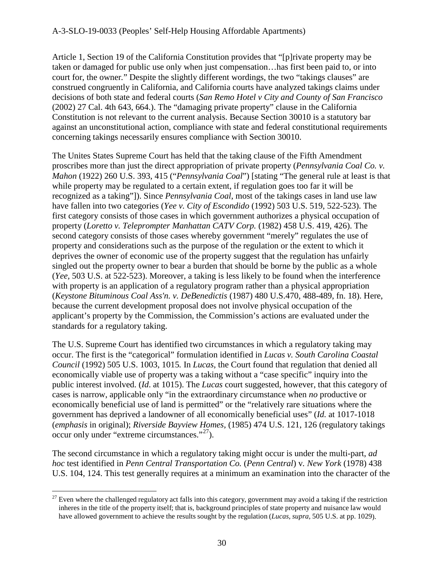Article 1, Section 19 of the California Constitution provides that "[p]rivate property may be taken or damaged for public use only when just compensation…has first been paid to, or into court for, the owner*.*" Despite the slightly different wordings, the two "takings clauses" are construed congruently in California, and California courts have analyzed takings claims under decisions of both state and federal courts (*San Remo Hotel v City and County of San Francisco* (2002) 27 Cal. 4th 643, 664.). The "damaging private property" clause in the California Constitution is not relevant to the current analysis. Because Section 30010 is a statutory bar against an unconstitutional action, compliance with state and federal constitutional requirements concerning takings necessarily ensures compliance with Section 30010.

The Unites States Supreme Court has held that the taking clause of the Fifth Amendment proscribes more than just the direct appropriation of private property (*Pennsylvania Coal Co. v. Mahon* (1922) 260 U.S. 393, 415 ("*Pennsylvania Coal*") [stating "The general rule at least is that while property may be regulated to a certain extent, if regulation goes too far it will be recognized as a taking"]). Since *Pennsylvania Coal*, most of the takings cases in land use law have fallen into two categories (*Yee v. City of Escondido* (1992) 503 U.S. 519, 522-523). The first category consists of those cases in which government authorizes a physical occupation of property (*Loretto v. Teleprompter Manhattan CATV Corp.* (1982) 458 U.S. 419, 426). The second category consists of those cases whereby government "merely" regulates the use of property and considerations such as the purpose of the regulation or the extent to which it deprives the owner of economic use of the property suggest that the regulation has unfairly singled out the property owner to bear a burden that should be borne by the public as a whole (*Yee,* 503 U.S. at 522-523). Moreover, a taking is less likely to be found when the interference with property is an application of a regulatory program rather than a physical appropriation (*Keystone Bituminous Coal Ass'n. v. DeBenedictis* (1987) 480 U.S.470, 488-489, fn. 18). Here, because the current development proposal does not involve physical occupation of the applicant's property by the Commission, the Commission's actions are evaluated under the standards for a regulatory taking.

The U.S. Supreme Court has identified two circumstances in which a regulatory taking may occur. The first is the "categorical" formulation identified in *Lucas v. South Carolina Coastal Council* (1992) 505 U.S. 1003, 1015*.* In *Lucas,* the Court found that regulation that denied all economically viable use of property was a taking without a "case specific" inquiry into the public interest involved. (*Id*. at 1015). The *Lucas* court suggested, however, that this category of cases is narrow, applicable only "in the extraordinary circumstance when *no* productive or economically beneficial use of land is permitted" or the "relatively rare situations where the government has deprived a landowner of all economically beneficial uses" (*Id.* at 1017-1018 (*emphasis* in original); *Riverside Bayview Homes,* (1985) 474 U.S. 121, 126 (regulatory takings occur only under "extreme circumstances."[27](#page-29-0)).

The second circumstance in which a regulatory taking might occur is under the multi-part, *ad hoc* test identified in *Penn Central Transportation Co.* (*Penn Central*) v*. New York* (1978) 438 U.S. 104, 124. This test generally requires at a minimum an examination into the character of the

<span id="page-29-0"></span> $\overline{a}$  $27$  Even where the challenged regulatory act falls into this category, government may avoid a taking if the restriction inheres in the title of the property itself; that is, background principles of state property and nuisance law would have allowed government to achieve the results sought by the regulation (*Lucas, supra,* 505 U.S. at pp. 1029).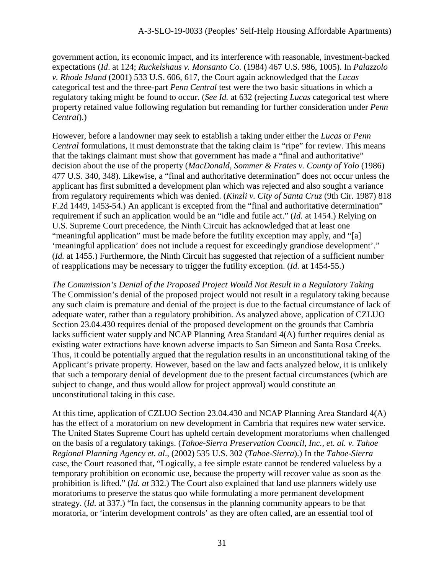government action, its economic impact, and its interference with reasonable, investment-backed expectations (*Id*. at 124; *Ruckelshaus v. Monsanto Co.* (1984) 467 U.S. 986, 1005). In *Palazzolo v. Rhode Island* (2001) 533 U.S. 606, 617, the Court again acknowledged that the *Lucas*  categorical test and the three-part *Penn Central* test were the two basic situations in which a regulatory taking might be found to occur. (*See Id.* at 632 (rejecting *Lucas* categorical test where property retained value following regulation but remanding for further consideration under *Penn Central*).)

However, before a landowner may seek to establish a taking under either the *Lucas* or *Penn Central* formulations, it must demonstrate that the taking claim is "ripe" for review. This means that the takings claimant must show that government has made a "final and authoritative" decision about the use of the property (*MacDonald, Sommer & Frates v. County of Yolo* (1986) 477 U.S. 340, 348). Likewise, a "final and authoritative determination" does not occur unless the applicant has first submitted a development plan which was rejected and also sought a variance from regulatory requirements which was denied. (*Kinzli v. City of Santa Cruz* (9th Cir. 1987) 818 F.2d 1449, 1453-54.) An applicant is excepted from the "final and authoritative determination" requirement if such an application would be an "idle and futile act." (*Id.* at 1454.) Relying on U.S. Supreme Court precedence, the Ninth Circuit has acknowledged that at least one "meaningful application" must be made before the futility exception may apply, and "[a] 'meaningful application' does not include a request for exceedingly grandiose development'." (*Id.* at 1455.) Furthermore, the Ninth Circuit has suggested that rejection of a sufficient number of reapplications may be necessary to trigger the futility exception. (*Id.* at 1454-55.)

*The Commission's Denial of the Proposed Project Would Not Result in a Regulatory Taking*  The Commission's denial of the proposed project would not result in a regulatory taking because any such claim is premature and denial of the project is due to the factual circumstance of lack of adequate water, rather than a regulatory prohibition. As analyzed above, application of CZLUO Section 23.04.430 requires denial of the proposed development on the grounds that Cambria lacks sufficient water supply and NCAP Planning Area Standard 4(A) further requires denial as existing water extractions have known adverse impacts to San Simeon and Santa Rosa Creeks. Thus, it could be potentially argued that the regulation results in an unconstitutional taking of the Applicant's private property. However, based on the law and facts analyzed below, it is unlikely that such a temporary denial of development due to the present factual circumstances (which are subject to change, and thus would allow for project approval) would constitute an unconstitutional taking in this case.

At this time, application of CZLUO Section 23.04.430 and NCAP Planning Area Standard 4(A) has the effect of a moratorium on new development in Cambria that requires new water service. The United States Supreme Court has upheld certain development moratoriums when challenged on the basis of a regulatory takings. (*Tahoe-Sierra Preservation Council, Inc., et. al. v. Tahoe Regional Planning Agency et. al*., (2002) 535 U.S. 302 (*Tahoe-Sierra*).) In the *Tahoe-Sierra* case, the Court reasoned that, "Logically, a fee simple estate cannot be rendered valueless by a temporary prohibition on economic use, because the property will recover value as soon as the prohibition is lifted." (*Id. at* 332.) The Court also explained that land use planners widely use moratoriums to preserve the status quo while formulating a more permanent development strategy. (*Id*. at 337.) "In fact, the consensus in the planning community appears to be that moratoria, or 'interim development controls' as they are often called, are an essential tool of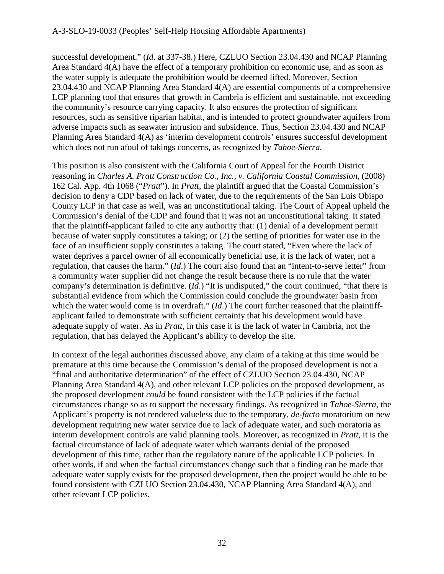successful development." (*Id*. at 337-38.) Here, CZLUO Section 23.04.430 and NCAP Planning Area Standard 4(A) have the effect of a temporary prohibition on economic use, and as soon as the water supply is adequate the prohibition would be deemed lifted. Moreover, Section 23.04.430 and NCAP Planning Area Standard 4(A) are essential components of a comprehensive LCP planning tool that ensures that growth in Cambria is efficient and sustainable, not exceeding the community's resource carrying capacity. It also ensures the protection of significant resources, such as sensitive riparian habitat, and is intended to protect groundwater aquifers from adverse impacts such as seawater intrusion and subsidence. Thus, Section 23.04.430 and NCAP Planning Area Standard 4(A) as 'interim development controls' ensures successful development which does not run afoul of takings concerns, as recognized by *Tahoe-Sierra*.

This position is also consistent with the California Court of Appeal for the Fourth District reasoning in *Charles A. Pratt Construction Co., Inc., v. California Coastal Commission*, (2008) 162 Cal. App. 4th 1068 ("*Pratt*"). In *Pratt*, the plaintiff argued that the Coastal Commission's decision to deny a CDP based on lack of water, due to the requirements of the San Luis Obispo County LCP in that case as well, was an unconstitutional taking. The Court of Appeal upheld the Commission's denial of the CDP and found that it was not an unconstitutional taking. It stated that the plaintiff-applicant failed to cite any authority that: (1) denial of a development permit because of water supply constitutes a taking; or (2) the setting of priorities for water use in the face of an insufficient supply constitutes a taking. The court stated, "Even where the lack of water deprives a parcel owner of all economically beneficial use, it is the lack of water, not a regulation, that causes the harm." (*Id*.) The court also found that an "intent-to-serve letter" from a community water supplier did not change the result because there is no rule that the water company's determination is definitive. (*Id*.) "It is undisputed," the court continued, "that there is substantial evidence from which the Commission could conclude the groundwater basin from which the water would come is in overdraft." (*Id*.) The court further reasoned that the plaintiffapplicant failed to demonstrate with sufficient certainty that his development would have adequate supply of water. As in *Pratt*, in this case it is the lack of water in Cambria, not the regulation, that has delayed the Applicant's ability to develop the site.

In context of the legal authorities discussed above, any claim of a taking at this time would be premature at this time because the Commission's denial of the proposed development is not a "final and authoritative determination" of the effect of CZLUO Section 23.04.430, NCAP Planning Area Standard 4(A), and other relevant LCP policies on the proposed development, as the proposed development *could* be found consistent with the LCP policies if the factual circumstances change so as to support the necessary findings. As recognized in *Tahoe-Sierra*, the Applicant's property is not rendered valueless due to the temporary, *de-facto* moratorium on new development requiring new water service due to lack of adequate water, and such moratoria as interim development controls are valid planning tools. Moreover, as recognized in *Pratt*, it is the factual circumstance of lack of adequate water which warrants denial of the proposed development of this time, rather than the regulatory nature of the applicable LCP policies. In other words, if and when the factual circumstances change such that a finding can be made that adequate water supply exists for the proposed development, then the project would be able to be found consistent with CZLUO Section 23.04.430, NCAP Planning Area Standard 4(A), and other relevant LCP policies.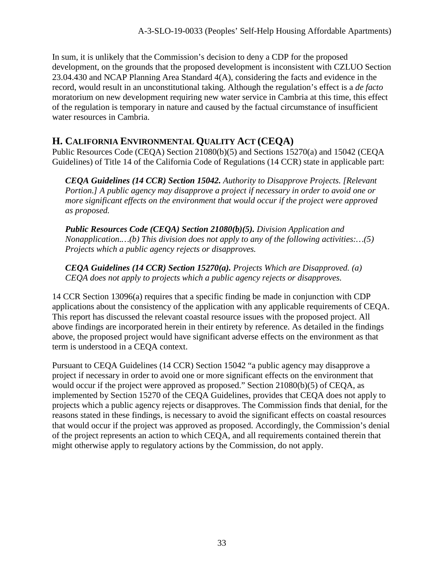In sum, it is unlikely that the Commission's decision to deny a CDP for the proposed development, on the grounds that the proposed development is inconsistent with CZLUO Section 23.04.430 and NCAP Planning Area Standard 4(A), considering the facts and evidence in the record, would result in an unconstitutional taking. Although the regulation's effect is a *de facto* moratorium on new development requiring new water service in Cambria at this time, this effect of the regulation is temporary in nature and caused by the factual circumstance of insufficient water resources in Cambria.

## **H. CALIFORNIA ENVIRONMENTAL QUALITY ACT (CEQA)**

Public Resources Code (CEQA) Section 21080(b)(5) and Sections 15270(a) and 15042 (CEQA Guidelines) of Title 14 of the California Code of Regulations (14 CCR) state in applicable part:

*CEQA Guidelines (14 CCR) Section 15042. Authority to Disapprove Projects. [Relevant Portion.] A public agency may disapprove a project if necessary in order to avoid one or more significant effects on the environment that would occur if the project were approved as proposed.* 

*Public Resources Code (CEQA) Section 21080(b)(5). Division Application and Nonapplication.…(b) This division does not apply to any of the following activities:…(5) Projects which a public agency rejects or disapproves.* 

*CEQA Guidelines (14 CCR) Section 15270(a). Projects Which are Disapproved. (a) CEQA does not apply to projects which a public agency rejects or disapproves.* 

14 CCR Section 13096(a) requires that a specific finding be made in conjunction with CDP applications about the consistency of the application with any applicable requirements of CEQA. This report has discussed the relevant coastal resource issues with the proposed project. All above findings are incorporated herein in their entirety by reference. As detailed in the findings above, the proposed project would have significant adverse effects on the environment as that term is understood in a CEQA context.

Pursuant to CEQA Guidelines (14 CCR) Section 15042 "a public agency may disapprove a project if necessary in order to avoid one or more significant effects on the environment that would occur if the project were approved as proposed." Section 21080(b)(5) of CEQA, as implemented by Section 15270 of the CEQA Guidelines, provides that CEQA does not apply to projects which a public agency rejects or disapproves. The Commission finds that denial, for the reasons stated in these findings, is necessary to avoid the significant effects on coastal resources that would occur if the project was approved as proposed. Accordingly, the Commission's denial of the project represents an action to which CEQA, and all requirements contained therein that might otherwise apply to regulatory actions by the Commission, do not apply.